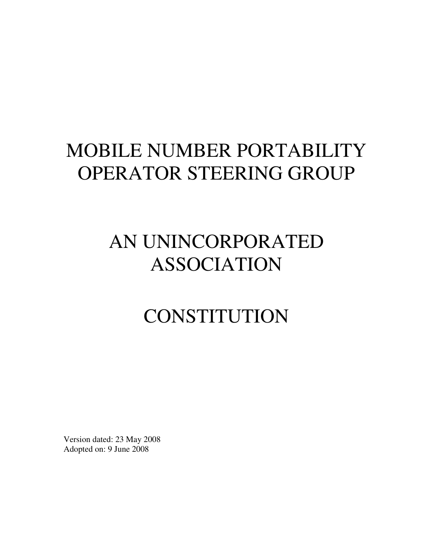# MOBILE NUMBER PORTABILITY OPERATOR STEERING GROUP

# AN UNINCORPORATED ASSOCIATION

# **CONSTITUTION**

Version dated: 23 May 2008 Adopted on: 9 June 2008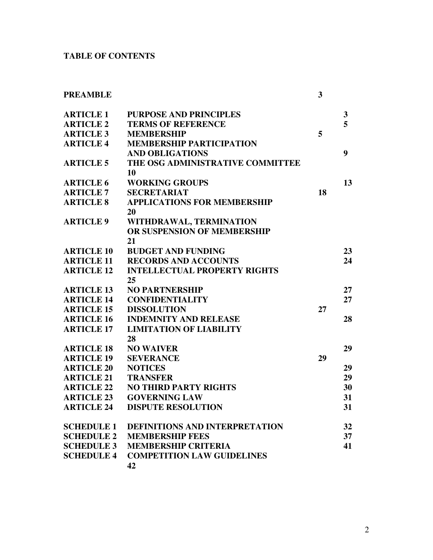# **TABLE OF CONTENTS**

| <b>PREAMBLE</b>   |                                       | 3  |              |
|-------------------|---------------------------------------|----|--------------|
| <b>ARTICLE 1</b>  | <b>PURPOSE AND PRINCIPLES</b>         |    | $\mathbf{3}$ |
| <b>ARTICLE 2</b>  | <b>TERMS OF REFERENCE</b>             |    | 5            |
| <b>ARTICLE 3</b>  | <b>MEMBERSHIP</b>                     | 5  |              |
| <b>ARTICLE 4</b>  | <b>MEMBERSHIP PARTICIPATION</b>       |    |              |
|                   | <b>AND OBLIGATIONS</b>                |    | 9            |
| <b>ARTICLE 5</b>  | THE OSG ADMINISTRATIVE COMMITTEE      |    |              |
|                   | 10                                    |    |              |
| <b>ARTICLE 6</b>  | <b>WORKING GROUPS</b>                 |    | 13           |
| <b>ARTICLE 7</b>  | <b>SECRETARIAT</b>                    | 18 |              |
| <b>ARTICLE 8</b>  | <b>APPLICATIONS FOR MEMBERSHIP</b>    |    |              |
|                   | 20                                    |    |              |
| <b>ARTICLE 9</b>  | WITHDRAWAL, TERMINATION               |    |              |
|                   | OR SUSPENSION OF MEMBERSHIP           |    |              |
|                   | 21                                    |    |              |
| <b>ARTICLE 10</b> | <b>BUDGET AND FUNDING</b>             |    | 23           |
| <b>ARTICLE 11</b> | <b>RECORDS AND ACCOUNTS</b>           |    | 24           |
| <b>ARTICLE 12</b> | <b>INTELLECTUAL PROPERTY RIGHTS</b>   |    |              |
|                   | 25                                    |    |              |
| <b>ARTICLE 13</b> | <b>NO PARTNERSHIP</b>                 |    | 27           |
| <b>ARTICLE 14</b> | <b>CONFIDENTIALITY</b>                |    | 27           |
| <b>ARTICLE 15</b> | <b>DISSOLUTION</b>                    | 27 |              |
| <b>ARTICLE 16</b> | <b>INDEMNITY AND RELEASE</b>          |    | 28           |
| <b>ARTICLE 17</b> | <b>LIMITATION OF LIABILITY</b>        |    |              |
|                   | 28                                    |    |              |
| <b>ARTICLE 18</b> | <b>NO WAIVER</b>                      |    | 29           |
| <b>ARTICLE 19</b> | <b>SEVERANCE</b>                      | 29 |              |
| <b>ARTICLE 20</b> | <b>NOTICES</b>                        |    | 29           |
| <b>ARTICLE 21</b> | <b>TRANSFER</b>                       |    | 29           |
| <b>ARTICLE 22</b> | <b>NO THIRD PARTY RIGHTS</b>          |    | 30           |
| <b>ARTICLE 23</b> | <b>GOVERNING LAW</b>                  |    | 31           |
| <b>ARTICLE 24</b> | <b>DISPUTE RESOLUTION</b>             |    | 31           |
| <b>SCHEDULE 1</b> | <b>DEFINITIONS AND INTERPRETATION</b> |    | 32           |
| <b>SCHEDULE 2</b> | <b>MEMBERSHIP FEES</b>                |    | 37           |
| <b>SCHEDULE 3</b> | <b>MEMBERSHIP CRITERIA</b>            |    | 41           |
| <b>SCHEDULE 4</b> | <b>COMPETITION LAW GUIDELINES</b>     |    |              |
|                   | 42                                    |    |              |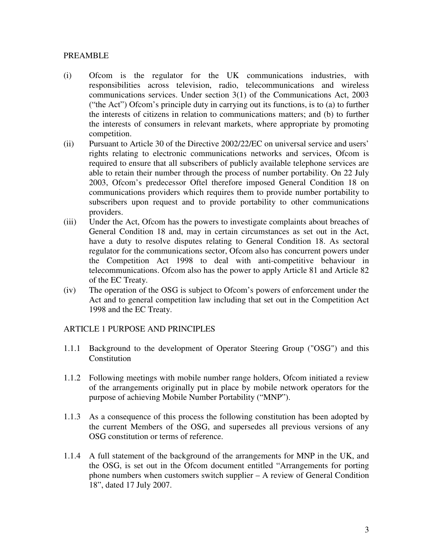#### PREAMBLE

- (i) Ofcom is the regulator for the UK communications industries, with responsibilities across television, radio, telecommunications and wireless communications services. Under section 3(1) of the Communications Act, 2003 ("the Act") Ofcom's principle duty in carrying out its functions, is to (a) to further the interests of citizens in relation to communications matters; and (b) to further the interests of consumers in relevant markets, where appropriate by promoting competition.
- (ii) Pursuant to Article 30 of the Directive 2002/22/EC on universal service and users' rights relating to electronic communications networks and services, Ofcom is required to ensure that all subscribers of publicly available telephone services are able to retain their number through the process of number portability. On 22 July 2003, Ofcom's predecessor Oftel therefore imposed General Condition 18 on communications providers which requires them to provide number portability to subscribers upon request and to provide portability to other communications providers.
- (iii) Under the Act, Ofcom has the powers to investigate complaints about breaches of General Condition 18 and, may in certain circumstances as set out in the Act, have a duty to resolve disputes relating to General Condition 18. As sectoral regulator for the communications sector, Ofcom also has concurrent powers under the Competition Act 1998 to deal with anti-competitive behaviour in telecommunications. Ofcom also has the power to apply Article 81 and Article 82 of the EC Treaty.
- (iv) The operation of the OSG is subject to Ofcom's powers of enforcement under the Act and to general competition law including that set out in the Competition Act 1998 and the EC Treaty.

#### ARTICLE 1 PURPOSE AND PRINCIPLES

- 1.1.1 Background to the development of Operator Steering Group ("OSG") and this Constitution
- 1.1.2 Following meetings with mobile number range holders, Ofcom initiated a review of the arrangements originally put in place by mobile network operators for the purpose of achieving Mobile Number Portability ("MNP").
- 1.1.3 As a consequence of this process the following constitution has been adopted by the current Members of the OSG, and supersedes all previous versions of any OSG constitution or terms of reference.
- 1.1.4 A full statement of the background of the arrangements for MNP in the UK, and the OSG, is set out in the Ofcom document entitled "Arrangements for porting phone numbers when customers switch supplier – A review of General Condition 18", dated 17 July 2007.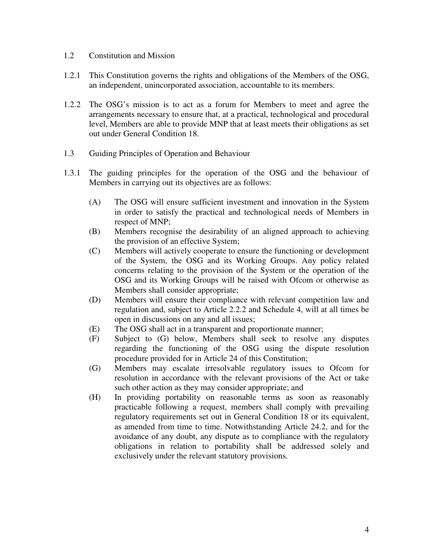- 1.2 Constitution and Mission
- 1.2.1 This Constitution governs the rights and obligations of the Members of the OSG, an independent, unincorporated association, accountable to its members.
- 1.2.2 The OSG's mission is to act as a forum for Members to meet and agree the arrangements necessary to ensure that, at a practical, technological and procedural level, Members are able to provide MNP that at least meets their obligations as set out under General Condition 18.
- 1.3 Guiding Principles of Operation and Behaviour
- 1.3.1 The guiding principles for the operation of the OSG and the behaviour of Members in carrying out its objectives are as follows:
	- (A) The OSG will ensure sufficient investment and innovation in the System in order to satisfy the practical and technological needs of Members in respect of MNP;
	- (B) Members recognise the desirability of an aligned approach to achieving the provision of an effective System;
	- (C) Members will actively cooperate to ensure the functioning or development of the System, the OSG and its Working Groups. Any policy related concerns relating to the provision of the System or the operation of the OSG and its Working Groups will be raised with Ofcom or otherwise as Members shall consider appropriate;
	- (D) Members will ensure their compliance with relevant competition law and regulation and, subject to Article 2.2.2 and Schedule 4, will at all times be open in discussions on any and all issues;
	- (E) The OSG shall act in a transparent and proportionate manner;
	- (F) Subject to (G) below, Members shall seek to resolve any disputes regarding the functioning of the OSG using the dispute resolution procedure provided for in Article 24 of this Constitution;
	- (G) Members may escalate irresolvable regulatory issues to Ofcom for resolution in accordance with the relevant provisions of the Act or take such other action as they may consider appropriate; and
	- (H) In providing portability on reasonable terms as soon as reasonably practicable following a request, members shall comply with prevailing regulatory requirements set out in General Condition 18 or its equivalent, as amended from time to time. Notwithstanding Article 24.2, and for the avoidance of any doubt, any dispute as to compliance with the regulatory obligations in relation to portability shall be addressed solely and exclusively under the relevant statutory provisions.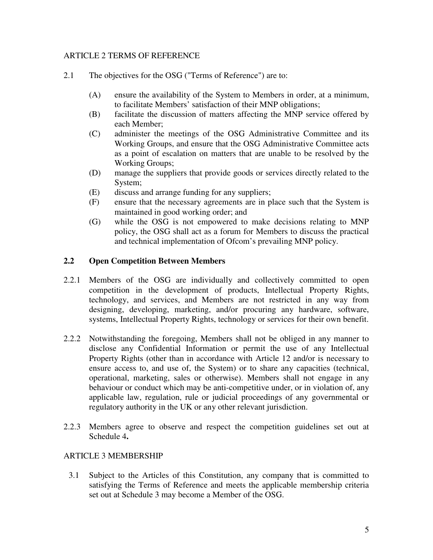#### ARTICLE 2 TERMS OF REFERENCE

- 2.1 The objectives for the OSG ("Terms of Reference") are to:
	- (A) ensure the availability of the System to Members in order, at a minimum, to facilitate Members' satisfaction of their MNP obligations;
	- (B) facilitate the discussion of matters affecting the MNP service offered by each Member;
	- (C) administer the meetings of the OSG Administrative Committee and its Working Groups, and ensure that the OSG Administrative Committee acts as a point of escalation on matters that are unable to be resolved by the Working Groups;
	- (D) manage the suppliers that provide goods or services directly related to the System;
	- (E) discuss and arrange funding for any suppliers;
	- (F) ensure that the necessary agreements are in place such that the System is maintained in good working order; and
	- (G) while the OSG is not empowered to make decisions relating to MNP policy, the OSG shall act as a forum for Members to discuss the practical and technical implementation of Ofcom's prevailing MNP policy.

# **2.2 Open Competition Between Members**

- 2.2.1 Members of the OSG are individually and collectively committed to open competition in the development of products, Intellectual Property Rights, technology, and services, and Members are not restricted in any way from designing, developing, marketing, and/or procuring any hardware, software, systems, Intellectual Property Rights, technology or services for their own benefit.
- 2.2.2 Notwithstanding the foregoing, Members shall not be obliged in any manner to disclose any Confidential Information or permit the use of any Intellectual Property Rights (other than in accordance with Article 12 and/or is necessary to ensure access to, and use of, the System) or to share any capacities (technical, operational, marketing, sales or otherwise). Members shall not engage in any behaviour or conduct which may be anti-competitive under, or in violation of, any applicable law, regulation, rule or judicial proceedings of any governmental or regulatory authority in the UK or any other relevant jurisdiction.
- 2.2.3 Members agree to observe and respect the competition guidelines set out at Schedule 4**.**

# ARTICLE 3 MEMBERSHIP

3.1 Subject to the Articles of this Constitution, any company that is committed to satisfying the Terms of Reference and meets the applicable membership criteria set out at Schedule 3 may become a Member of the OSG.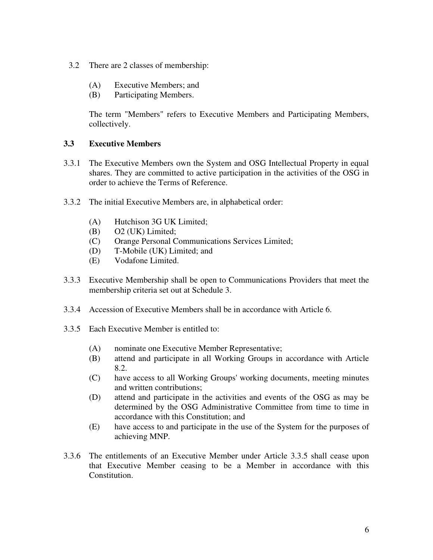- 3.2 There are 2 classes of membership:
	- (A) Executive Members; and
	- (B) Participating Members.

The term "Members" refers to Executive Members and Participating Members, collectively.

### **3.3 Executive Members**

- 3.3.1 The Executive Members own the System and OSG Intellectual Property in equal shares. They are committed to active participation in the activities of the OSG in order to achieve the Terms of Reference.
- 3.3.2 The initial Executive Members are, in alphabetical order:
	- (A) Hutchison 3G UK Limited;
	- (B) O2 (UK) Limited;
	- (C) Orange Personal Communications Services Limited;
	- (D) T-Mobile (UK) Limited; and
	- (E) Vodafone Limited.
- 3.3.3 Executive Membership shall be open to Communications Providers that meet the membership criteria set out at Schedule 3.
- 3.3.4 Accession of Executive Members shall be in accordance with Article 6.
- 3.3.5 Each Executive Member is entitled to:
	- (A) nominate one Executive Member Representative;
	- (B) attend and participate in all Working Groups in accordance with Article 8.2.
	- (C) have access to all Working Groups' working documents, meeting minutes and written contributions;
	- (D) attend and participate in the activities and events of the OSG as may be determined by the OSG Administrative Committee from time to time in accordance with this Constitution; and
	- (E) have access to and participate in the use of the System for the purposes of achieving MNP.
- 3.3.6 The entitlements of an Executive Member under Article 3.3.5 shall cease upon that Executive Member ceasing to be a Member in accordance with this Constitution.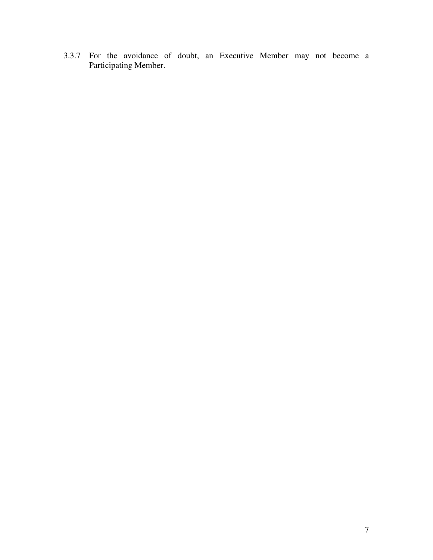3.3.7 For the avoidance of doubt, an Executive Member may not become a Participating Member.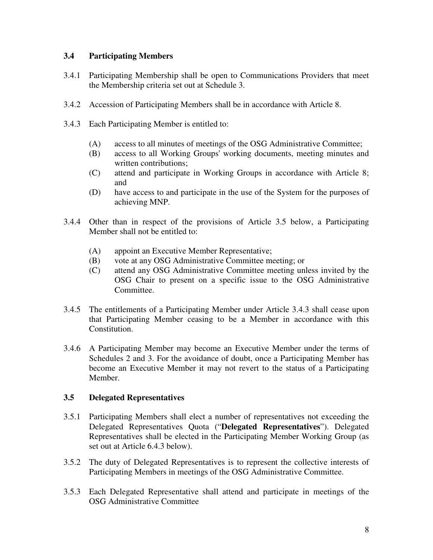### **3.4 Participating Members**

- 3.4.1 Participating Membership shall be open to Communications Providers that meet the Membership criteria set out at Schedule 3.
- 3.4.2 Accession of Participating Members shall be in accordance with Article 8.
- 3.4.3 Each Participating Member is entitled to:
	- (A) access to all minutes of meetings of the OSG Administrative Committee;
	- (B) access to all Working Groups' working documents, meeting minutes and written contributions;
	- (C) attend and participate in Working Groups in accordance with Article 8; and
	- (D) have access to and participate in the use of the System for the purposes of achieving MNP.
- 3.4.4 Other than in respect of the provisions of Article 3.5 below, a Participating Member shall not be entitled to:
	- (A) appoint an Executive Member Representative;
	- (B) vote at any OSG Administrative Committee meeting; or
	- (C) attend any OSG Administrative Committee meeting unless invited by the OSG Chair to present on a specific issue to the OSG Administrative Committee.
- 3.4.5 The entitlements of a Participating Member under Article 3.4.3 shall cease upon that Participating Member ceasing to be a Member in accordance with this Constitution.
- 3.4.6 A Participating Member may become an Executive Member under the terms of Schedules 2 and 3. For the avoidance of doubt, once a Participating Member has become an Executive Member it may not revert to the status of a Participating Member.

# **3.5 Delegated Representatives**

- 3.5.1 Participating Members shall elect a number of representatives not exceeding the Delegated Representatives Quota ("**Delegated Representatives**"). Delegated Representatives shall be elected in the Participating Member Working Group (as set out at Article 6.4.3 below).
- 3.5.2 The duty of Delegated Representatives is to represent the collective interests of Participating Members in meetings of the OSG Administrative Committee.
- 3.5.3 Each Delegated Representative shall attend and participate in meetings of the OSG Administrative Committee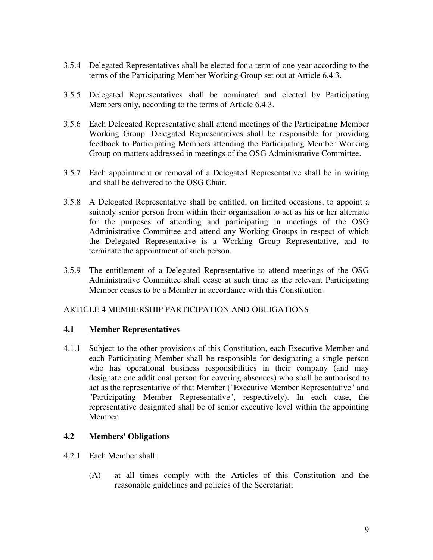- 3.5.4 Delegated Representatives shall be elected for a term of one year according to the terms of the Participating Member Working Group set out at Article 6.4.3.
- 3.5.5 Delegated Representatives shall be nominated and elected by Participating Members only, according to the terms of Article 6.4.3.
- 3.5.6 Each Delegated Representative shall attend meetings of the Participating Member Working Group. Delegated Representatives shall be responsible for providing feedback to Participating Members attending the Participating Member Working Group on matters addressed in meetings of the OSG Administrative Committee.
- 3.5.7 Each appointment or removal of a Delegated Representative shall be in writing and shall be delivered to the OSG Chair.
- 3.5.8 A Delegated Representative shall be entitled, on limited occasions, to appoint a suitably senior person from within their organisation to act as his or her alternate for the purposes of attending and participating in meetings of the OSG Administrative Committee and attend any Working Groups in respect of which the Delegated Representative is a Working Group Representative, and to terminate the appointment of such person.
- 3.5.9 The entitlement of a Delegated Representative to attend meetings of the OSG Administrative Committee shall cease at such time as the relevant Participating Member ceases to be a Member in accordance with this Constitution.

# ARTICLE 4 MEMBERSHIP PARTICIPATION AND OBLIGATIONS

#### **4.1 Member Representatives**

4.1.1 Subject to the other provisions of this Constitution, each Executive Member and each Participating Member shall be responsible for designating a single person who has operational business responsibilities in their company (and may designate one additional person for covering absences) who shall be authorised to act as the representative of that Member ("Executive Member Representative" and "Participating Member Representative", respectively). In each case, the representative designated shall be of senior executive level within the appointing Member.

#### **4.2 Members' Obligations**

- 4.2.1 Each Member shall:
	- (A) at all times comply with the Articles of this Constitution and the reasonable guidelines and policies of the Secretariat;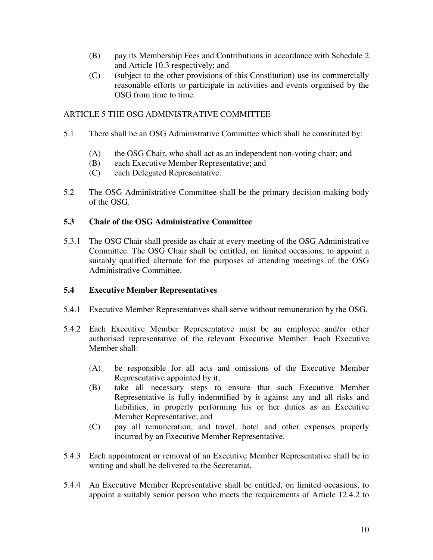- (B) pay its Membership Fees and Contributions in accordance with Schedule 2 and Article 10.3 respectively; and
- (C) (subject to the other provisions of this Constitution) use its commercially reasonable efforts to participate in activities and events organised by the OSG from time to time.

# ARTICLE 5 THE OSG ADMINISTRATIVE COMMITTEE

- 5.1 There shall be an OSG Administrative Committee which shall be constituted by:
	- (A) the OSG Chair, who shall act as an independent non-voting chair; and
	- (B) each Executive Member Representative; and
	- (C) each Delegated Representative.
- 5.2 The OSG Administrative Committee shall be the primary decision-making body of the OSG.

### **5.3 Chair of the OSG Administrative Committee**

5.3.1 The OSG Chair shall preside as chair at every meeting of the OSG Administrative Committee. The OSG Chair shall be entitled, on limited occasions, to appoint a suitably qualified alternate for the purposes of attending meetings of the OSG Administrative Committee.

#### **5.4 Executive Member Representatives**

- 5.4.1 Executive Member Representatives shall serve without remuneration by the OSG.
- 5.4.2 Each Executive Member Representative must be an employee and/or other authorised representative of the relevant Executive Member. Each Executive Member shall:
	- (A) be responsible for all acts and omissions of the Executive Member Representative appointed by it;
	- (B) take all necessary steps to ensure that such Executive Member Representative is fully indemnified by it against any and all risks and liabilities, in properly performing his or her duties as an Executive Member Representative; and
	- (C) pay all remuneration, and travel, hotel and other expenses properly incurred by an Executive Member Representative.
- 5.4.3 Each appointment or removal of an Executive Member Representative shall be in writing and shall be delivered to the Secretariat.
- 5.4.4 An Executive Member Representative shall be entitled, on limited occasions, to appoint a suitably senior person who meets the requirements of Article 12.4.2 to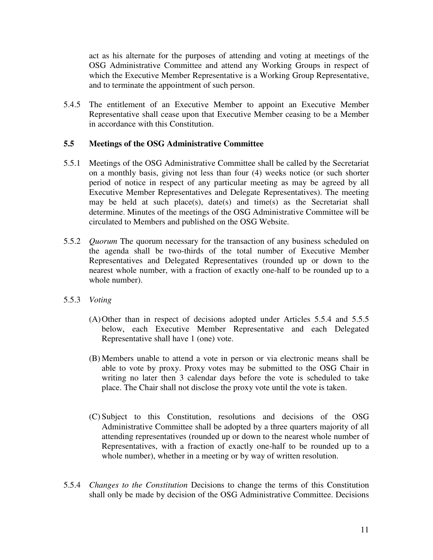act as his alternate for the purposes of attending and voting at meetings of the OSG Administrative Committee and attend any Working Groups in respect of which the Executive Member Representative is a Working Group Representative, and to terminate the appointment of such person.

5.4.5 The entitlement of an Executive Member to appoint an Executive Member Representative shall cease upon that Executive Member ceasing to be a Member in accordance with this Constitution.

#### **5.5 Meetings of the OSG Administrative Committee**

- 5.5.1 Meetings of the OSG Administrative Committee shall be called by the Secretariat on a monthly basis, giving not less than four (4) weeks notice (or such shorter period of notice in respect of any particular meeting as may be agreed by all Executive Member Representatives and Delegate Representatives). The meeting may be held at such place(s), date(s) and time(s) as the Secretariat shall determine. Minutes of the meetings of the OSG Administrative Committee will be circulated to Members and published on the OSG Website.
- 5.5.2 *Quorum* The quorum necessary for the transaction of any business scheduled on the agenda shall be two-thirds of the total number of Executive Member Representatives and Delegated Representatives (rounded up or down to the nearest whole number, with a fraction of exactly one-half to be rounded up to a whole number).
- 5.5.3 *Voting* 
	- (A) Other than in respect of decisions adopted under Articles 5.5.4 and 5.5.5 below, each Executive Member Representative and each Delegated Representative shall have 1 (one) vote.
	- (B) Members unable to attend a vote in person or via electronic means shall be able to vote by proxy. Proxy votes may be submitted to the OSG Chair in writing no later then 3 calendar days before the vote is scheduled to take place. The Chair shall not disclose the proxy vote until the vote is taken.
	- (C) Subject to this Constitution, resolutions and decisions of the OSG Administrative Committee shall be adopted by a three quarters majority of all attending representatives (rounded up or down to the nearest whole number of Representatives, with a fraction of exactly one-half to be rounded up to a whole number), whether in a meeting or by way of written resolution.
- 5.5.4 *Changes to the Constitution* Decisions to change the terms of this Constitution shall only be made by decision of the OSG Administrative Committee. Decisions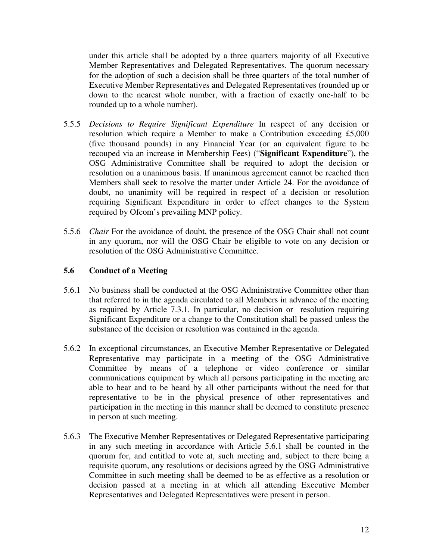under this article shall be adopted by a three quarters majority of all Executive Member Representatives and Delegated Representatives. The quorum necessary for the adoption of such a decision shall be three quarters of the total number of Executive Member Representatives and Delegated Representatives (rounded up or down to the nearest whole number, with a fraction of exactly one-half to be rounded up to a whole number).

- 5.5.5 *Decisions to Require Significant Expenditure* In respect of any decision or resolution which require a Member to make a Contribution exceeding £5,000 (five thousand pounds) in any Financial Year (or an equivalent figure to be recouped via an increase in Membership Fees) ("**Significant Expenditure**"), the OSG Administrative Committee shall be required to adopt the decision or resolution on a unanimous basis. If unanimous agreement cannot be reached then Members shall seek to resolve the matter under Article 24. For the avoidance of doubt, no unanimity will be required in respect of a decision or resolution requiring Significant Expenditure in order to effect changes to the System required by Ofcom's prevailing MNP policy.
- 5.5.6 *Chair* For the avoidance of doubt, the presence of the OSG Chair shall not count in any quorum, nor will the OSG Chair be eligible to vote on any decision or resolution of the OSG Administrative Committee.

# **5.6 Conduct of a Meeting**

- 5.6.1 No business shall be conducted at the OSG Administrative Committee other than that referred to in the agenda circulated to all Members in advance of the meeting as required by Article 7.3.1. In particular, no decision or resolution requiring Significant Expenditure or a change to the Constitution shall be passed unless the substance of the decision or resolution was contained in the agenda.
- 5.6.2 In exceptional circumstances, an Executive Member Representative or Delegated Representative may participate in a meeting of the OSG Administrative Committee by means of a telephone or video conference or similar communications equipment by which all persons participating in the meeting are able to hear and to be heard by all other participants without the need for that representative to be in the physical presence of other representatives and participation in the meeting in this manner shall be deemed to constitute presence in person at such meeting.
- 5.6.3 The Executive Member Representatives or Delegated Representative participating in any such meeting in accordance with Article 5.6.1 shall be counted in the quorum for, and entitled to vote at, such meeting and, subject to there being a requisite quorum, any resolutions or decisions agreed by the OSG Administrative Committee in such meeting shall be deemed to be as effective as a resolution or decision passed at a meeting in at which all attending Executive Member Representatives and Delegated Representatives were present in person.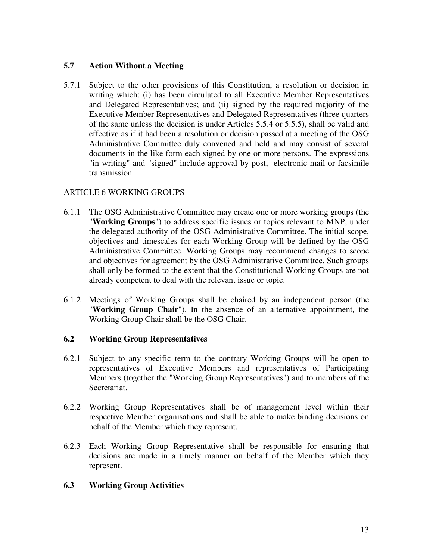# **5.7 Action Without a Meeting**

5.7.1 Subject to the other provisions of this Constitution, a resolution or decision in writing which: (i) has been circulated to all Executive Member Representatives and Delegated Representatives; and (ii) signed by the required majority of the Executive Member Representatives and Delegated Representatives (three quarters of the same unless the decision is under Articles 5.5.4 or 5.5.5), shall be valid and effective as if it had been a resolution or decision passed at a meeting of the OSG Administrative Committee duly convened and held and may consist of several documents in the like form each signed by one or more persons. The expressions "in writing" and "signed" include approval by post, electronic mail or facsimile transmission.

# ARTICLE 6 WORKING GROUPS

- 6.1.1 The OSG Administrative Committee may create one or more working groups (the "**Working Groups**") to address specific issues or topics relevant to MNP, under the delegated authority of the OSG Administrative Committee. The initial scope, objectives and timescales for each Working Group will be defined by the OSG Administrative Committee. Working Groups may recommend changes to scope and objectives for agreement by the OSG Administrative Committee. Such groups shall only be formed to the extent that the Constitutional Working Groups are not already competent to deal with the relevant issue or topic.
- 6.1.2 Meetings of Working Groups shall be chaired by an independent person (the "**Working Group Chair**"). In the absence of an alternative appointment, the Working Group Chair shall be the OSG Chair.

# **6.2 Working Group Representatives**

- 6.2.1 Subject to any specific term to the contrary Working Groups will be open to representatives of Executive Members and representatives of Participating Members (together the "Working Group Representatives") and to members of the Secretariat.
- 6.2.2 Working Group Representatives shall be of management level within their respective Member organisations and shall be able to make binding decisions on behalf of the Member which they represent.
- 6.2.3 Each Working Group Representative shall be responsible for ensuring that decisions are made in a timely manner on behalf of the Member which they represent.

# **6.3 Working Group Activities**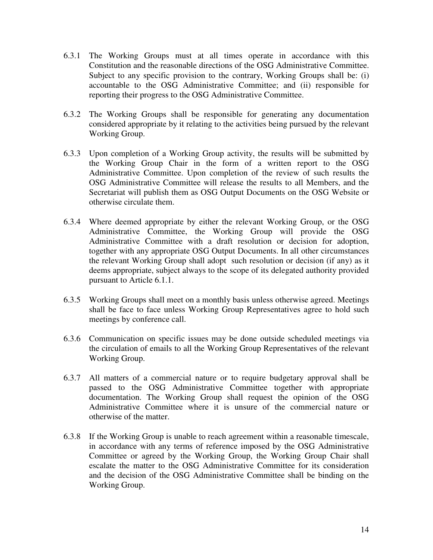- 6.3.1 The Working Groups must at all times operate in accordance with this Constitution and the reasonable directions of the OSG Administrative Committee. Subject to any specific provision to the contrary, Working Groups shall be: (i) accountable to the OSG Administrative Committee; and (ii) responsible for reporting their progress to the OSG Administrative Committee.
- 6.3.2 The Working Groups shall be responsible for generating any documentation considered appropriate by it relating to the activities being pursued by the relevant Working Group.
- 6.3.3 Upon completion of a Working Group activity, the results will be submitted by the Working Group Chair in the form of a written report to the OSG Administrative Committee. Upon completion of the review of such results the OSG Administrative Committee will release the results to all Members, and the Secretariat will publish them as OSG Output Documents on the OSG Website or otherwise circulate them.
- 6.3.4 Where deemed appropriate by either the relevant Working Group, or the OSG Administrative Committee, the Working Group will provide the OSG Administrative Committee with a draft resolution or decision for adoption, together with any appropriate OSG Output Documents. In all other circumstances the relevant Working Group shall adopt such resolution or decision (if any) as it deems appropriate, subject always to the scope of its delegated authority provided pursuant to Article 6.1.1.
- 6.3.5 Working Groups shall meet on a monthly basis unless otherwise agreed. Meetings shall be face to face unless Working Group Representatives agree to hold such meetings by conference call.
- 6.3.6 Communication on specific issues may be done outside scheduled meetings via the circulation of emails to all the Working Group Representatives of the relevant Working Group.
- 6.3.7 All matters of a commercial nature or to require budgetary approval shall be passed to the OSG Administrative Committee together with appropriate documentation. The Working Group shall request the opinion of the OSG Administrative Committee where it is unsure of the commercial nature or otherwise of the matter.
- 6.3.8 If the Working Group is unable to reach agreement within a reasonable timescale, in accordance with any terms of reference imposed by the OSG Administrative Committee or agreed by the Working Group, the Working Group Chair shall escalate the matter to the OSG Administrative Committee for its consideration and the decision of the OSG Administrative Committee shall be binding on the Working Group.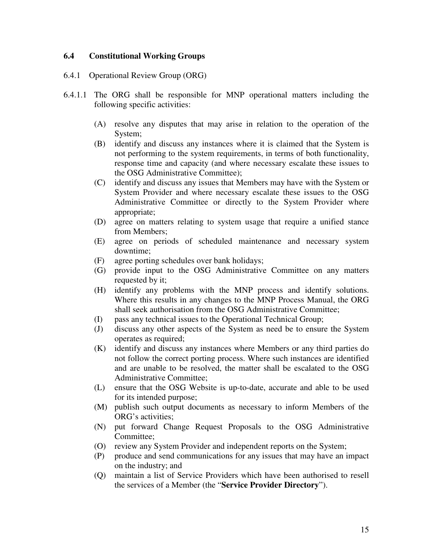#### **6.4 Constitutional Working Groups**

- 6.4.1 Operational Review Group (ORG)
- 6.4.1.1 The ORG shall be responsible for MNP operational matters including the following specific activities:
	- (A) resolve any disputes that may arise in relation to the operation of the System;
	- (B) identify and discuss any instances where it is claimed that the System is not performing to the system requirements, in terms of both functionality, response time and capacity (and where necessary escalate these issues to the OSG Administrative Committee);
	- (C) identify and discuss any issues that Members may have with the System or System Provider and where necessary escalate these issues to the OSG Administrative Committee or directly to the System Provider where appropriate;
	- (D) agree on matters relating to system usage that require a unified stance from Members;
	- (E) agree on periods of scheduled maintenance and necessary system downtime;
	- (F) agree porting schedules over bank holidays;
	- (G) provide input to the OSG Administrative Committee on any matters requested by it;
	- (H) identify any problems with the MNP process and identify solutions. Where this results in any changes to the MNP Process Manual, the ORG shall seek authorisation from the OSG Administrative Committee;
	- (I) pass any technical issues to the Operational Technical Group;
	- (J) discuss any other aspects of the System as need be to ensure the System operates as required;
	- (K) identify and discuss any instances where Members or any third parties do not follow the correct porting process. Where such instances are identified and are unable to be resolved, the matter shall be escalated to the OSG Administrative Committee;
	- (L) ensure that the OSG Website is up-to-date, accurate and able to be used for its intended purpose;
	- (M) publish such output documents as necessary to inform Members of the ORG's activities;
	- (N) put forward Change Request Proposals to the OSG Administrative Committee;
	- (O) review any System Provider and independent reports on the System;
	- (P) produce and send communications for any issues that may have an impact on the industry; and
	- (Q) maintain a list of Service Providers which have been authorised to resell the services of a Member (the "**Service Provider Directory**").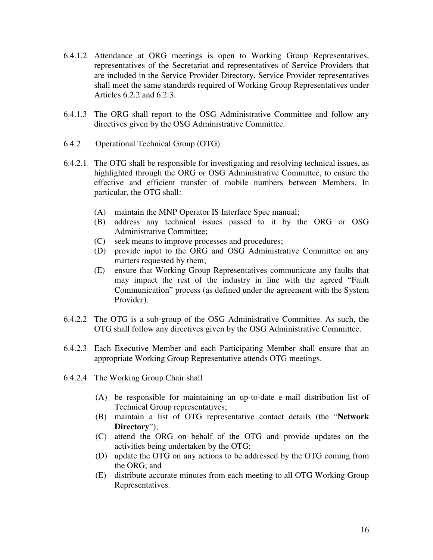- 6.4.1.2 Attendance at ORG meetings is open to Working Group Representatives, representatives of the Secretariat and representatives of Service Providers that are included in the Service Provider Directory. Service Provider representatives shall meet the same standards required of Working Group Representatives under Articles 6.2.2 and 6.2.3.
- 6.4.1.3 The ORG shall report to the OSG Administrative Committee and follow any directives given by the OSG Administrative Committee.
- 6.4.2 Operational Technical Group (OTG)
- 6.4.2.1 The OTG shall be responsible for investigating and resolving technical issues, as highlighted through the ORG or OSG Administrative Committee, to ensure the effective and efficient transfer of mobile numbers between Members. In particular, the OTG shall:
	- (A) maintain the MNP Operator IS Interface Spec manual;
	- (B) address any technical issues passed to it by the ORG or OSG Administrative Committee;
	- (C) seek means to improve processes and procedures;
	- (D) provide input to the ORG and OSG Administrative Committee on any matters requested by them;
	- (E) ensure that Working Group Representatives communicate any faults that may impact the rest of the industry in line with the agreed "Fault Communication" process (as defined under the agreement with the System Provider).
- 6.4.2.2 The OTG is a sub-group of the OSG Administrative Committee. As such, the OTG shall follow any directives given by the OSG Administrative Committee.
- 6.4.2.3 Each Executive Member and each Participating Member shall ensure that an appropriate Working Group Representative attends OTG meetings.
- 6.4.2.4 The Working Group Chair shall
	- (A) be responsible for maintaining an up-to-date e-mail distribution list of Technical Group representatives;
	- (B) maintain a list of OTG representative contact details (the "**Network Directory**");
	- (C) attend the ORG on behalf of the OTG and provide updates on the activities being undertaken by the OTG;
	- (D) update the OTG on any actions to be addressed by the OTG coming from the ORG; and
	- (E) distribute accurate minutes from each meeting to all OTG Working Group Representatives.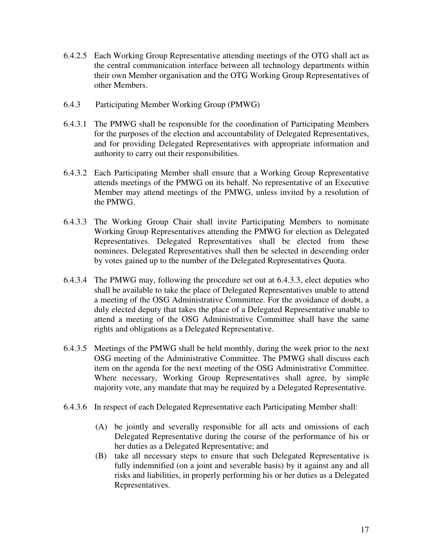- 6.4.2.5 Each Working Group Representative attending meetings of the OTG shall act as the central communication interface between all technology departments within their own Member organisation and the OTG Working Group Representatives of other Members.
- 6.4.3 Participating Member Working Group (PMWG)
- 6.4.3.1 The PMWG shall be responsible for the coordination of Participating Members for the purposes of the election and accountability of Delegated Representatives, and for providing Delegated Representatives with appropriate information and authority to carry out their responsibilities.
- 6.4.3.2 Each Participating Member shall ensure that a Working Group Representative attends meetings of the PMWG on its behalf. No representative of an Executive Member may attend meetings of the PMWG, unless invited by a resolution of the PMWG.
- 6.4.3.3 The Working Group Chair shall invite Participating Members to nominate Working Group Representatives attending the PMWG for election as Delegated Representatives. Delegated Representatives shall be elected from these nominees. Delegated Representatives shall then be selected in descending order by votes gained up to the number of the Delegated Representatives Quota.
- 6.4.3.4 The PMWG may, following the procedure set out at 6.4.3.3, elect deputies who shall be available to take the place of Delegated Representatives unable to attend a meeting of the OSG Administrative Committee. For the avoidance of doubt, a duly elected deputy that takes the place of a Delegated Representative unable to attend a meeting of the OSG Administrative Committee shall have the same rights and obligations as a Delegated Representative.
- 6.4.3.5 Meetings of the PMWG shall be held monthly, during the week prior to the next OSG meeting of the Administrative Committee. The PMWG shall discuss each item on the agenda for the next meeting of the OSG Administrative Committee. Where necessary, Working Group Representatives shall agree, by simple majority vote, any mandate that may be required by a Delegated Representative.
- 6.4.3.6 In respect of each Delegated Representative each Participating Member shall:
	- (A) be jointly and severally responsible for all acts and omissions of each Delegated Representative during the course of the performance of his or her duties as a Delegated Representative; and
	- (B) take all necessary steps to ensure that such Delegated Representative is fully indemnified (on a joint and severable basis) by it against any and all risks and liabilities, in properly performing his or her duties as a Delegated Representatives.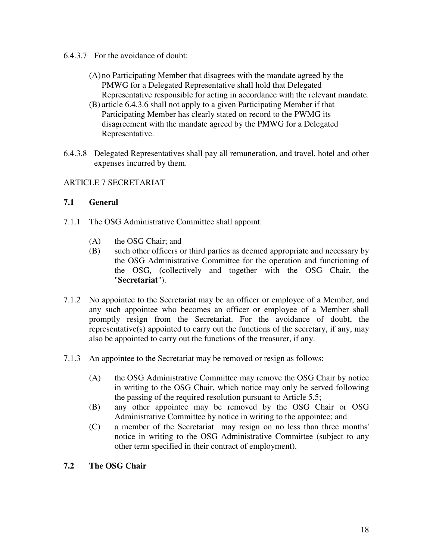- 6.4.3.7 For the avoidance of doubt:
	- (A) no Participating Member that disagrees with the mandate agreed by the PMWG for a Delegated Representative shall hold that Delegated Representative responsible for acting in accordance with the relevant mandate.
	- (B) article 6.4.3.6 shall not apply to a given Participating Member if that Participating Member has clearly stated on record to the PWMG its disagreement with the mandate agreed by the PMWG for a Delegated Representative.
- 6.4.3.8 Delegated Representatives shall pay all remuneration, and travel, hotel and other expenses incurred by them.

# ARTICLE 7 SECRETARIAT

# **7.1 General**

- 7.1.1 The OSG Administrative Committee shall appoint:
	- (A) the OSG Chair; and
	- (B) such other officers or third parties as deemed appropriate and necessary by the OSG Administrative Committee for the operation and functioning of the OSG, (collectively and together with the OSG Chair, the "**Secretariat**").
- 7.1.2 No appointee to the Secretariat may be an officer or employee of a Member, and any such appointee who becomes an officer or employee of a Member shall promptly resign from the Secretariat. For the avoidance of doubt, the representative(s) appointed to carry out the functions of the secretary, if any, may also be appointed to carry out the functions of the treasurer, if any.
- 7.1.3 An appointee to the Secretariat may be removed or resign as follows:
	- (A) the OSG Administrative Committee may remove the OSG Chair by notice in writing to the OSG Chair, which notice may only be served following the passing of the required resolution pursuant to Article 5.5;
	- (B) any other appointee may be removed by the OSG Chair or OSG Administrative Committee by notice in writing to the appointee; and
	- (C) a member of the Secretariat may resign on no less than three months' notice in writing to the OSG Administrative Committee (subject to any other term specified in their contract of employment).

# **7.2 The OSG Chair**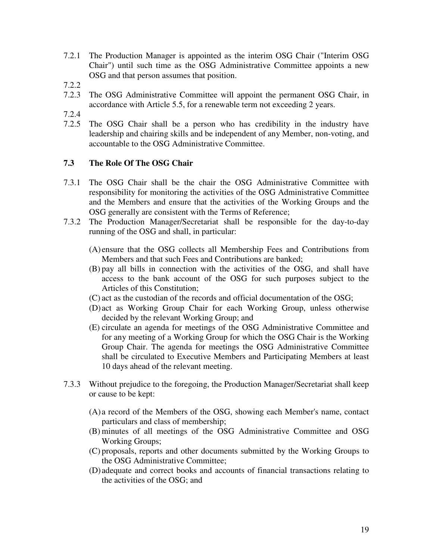- 7.2.1 The Production Manager is appointed as the interim OSG Chair ("Interim OSG Chair") until such time as the OSG Administrative Committee appoints a new OSG and that person assumes that position.
- 7.2.2
- 7.2.3 The OSG Administrative Committee will appoint the permanent OSG Chair, in accordance with Article 5.5, for a renewable term not exceeding 2 years.
- 7.2.4
- 7.2.5 The OSG Chair shall be a person who has credibility in the industry have leadership and chairing skills and be independent of any Member, non-voting, and accountable to the OSG Administrative Committee.

# **7.3 The Role Of The OSG Chair**

- 7.3.1 The OSG Chair shall be the chair the OSG Administrative Committee with responsibility for monitoring the activities of the OSG Administrative Committee and the Members and ensure that the activities of the Working Groups and the OSG generally are consistent with the Terms of Reference;
- 7.3.2 The Production Manager/Secretariat shall be responsible for the day-to-day running of the OSG and shall, in particular:
	- (A) ensure that the OSG collects all Membership Fees and Contributions from Members and that such Fees and Contributions are banked;
	- (B) pay all bills in connection with the activities of the OSG, and shall have access to the bank account of the OSG for such purposes subject to the Articles of this Constitution;
	- (C) act as the custodian of the records and official documentation of the OSG;
	- (D) act as Working Group Chair for each Working Group, unless otherwise decided by the relevant Working Group; and
	- (E) circulate an agenda for meetings of the OSG Administrative Committee and for any meeting of a Working Group for which the OSG Chair is the Working Group Chair. The agenda for meetings the OSG Administrative Committee shall be circulated to Executive Members and Participating Members at least 10 days ahead of the relevant meeting.
- 7.3.3 Without prejudice to the foregoing, the Production Manager/Secretariat shall keep or cause to be kept:
	- (A) a record of the Members of the OSG, showing each Member's name, contact particulars and class of membership;
	- (B) minutes of all meetings of the OSG Administrative Committee and OSG Working Groups;
	- (C) proposals, reports and other documents submitted by the Working Groups to the OSG Administrative Committee;
	- (D) adequate and correct books and accounts of financial transactions relating to the activities of the OSG; and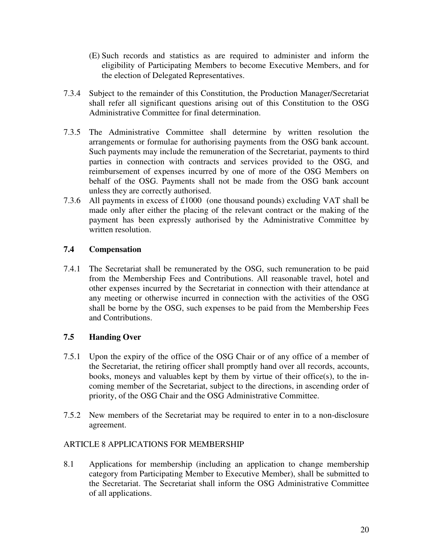- (E) Such records and statistics as are required to administer and inform the eligibility of Participating Members to become Executive Members, and for the election of Delegated Representatives.
- 7.3.4 Subject to the remainder of this Constitution, the Production Manager/Secretariat shall refer all significant questions arising out of this Constitution to the OSG Administrative Committee for final determination.
- 7.3.5 The Administrative Committee shall determine by written resolution the arrangements or formulae for authorising payments from the OSG bank account. Such payments may include the remuneration of the Secretariat, payments to third parties in connection with contracts and services provided to the OSG, and reimbursement of expenses incurred by one of more of the OSG Members on behalf of the OSG. Payments shall not be made from the OSG bank account unless they are correctly authorised.
- 7.3.6 All payments in excess of £1000 (one thousand pounds) excluding VAT shall be made only after either the placing of the relevant contract or the making of the payment has been expressly authorised by the Administrative Committee by written resolution.

# **7.4 Compensation**

7.4.1 The Secretariat shall be remunerated by the OSG, such remuneration to be paid from the Membership Fees and Contributions. All reasonable travel, hotel and other expenses incurred by the Secretariat in connection with their attendance at any meeting or otherwise incurred in connection with the activities of the OSG shall be borne by the OSG, such expenses to be paid from the Membership Fees and Contributions.

# **7.5 Handing Over**

- 7.5.1 Upon the expiry of the office of the OSG Chair or of any office of a member of the Secretariat, the retiring officer shall promptly hand over all records, accounts, books, moneys and valuables kept by them by virtue of their office(s), to the incoming member of the Secretariat, subject to the directions, in ascending order of priority, of the OSG Chair and the OSG Administrative Committee.
- 7.5.2 New members of the Secretariat may be required to enter in to a non-disclosure agreement.

# ARTICLE 8 APPLICATIONS FOR MEMBERSHIP

8.1 Applications for membership (including an application to change membership category from Participating Member to Executive Member), shall be submitted to the Secretariat. The Secretariat shall inform the OSG Administrative Committee of all applications.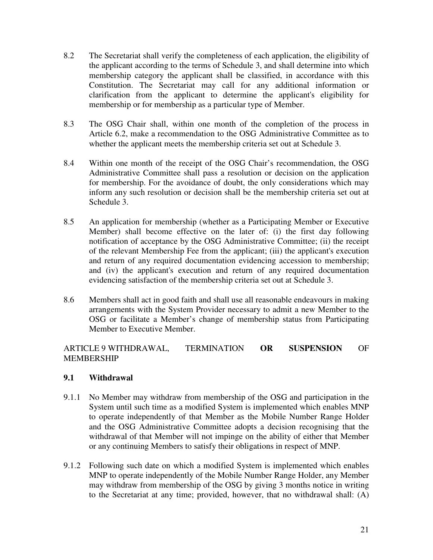- 8.2 The Secretariat shall verify the completeness of each application, the eligibility of the applicant according to the terms of Schedule 3, and shall determine into which membership category the applicant shall be classified, in accordance with this Constitution. The Secretariat may call for any additional information or clarification from the applicant to determine the applicant's eligibility for membership or for membership as a particular type of Member.
- 8.3 The OSG Chair shall, within one month of the completion of the process in Article 6.2, make a recommendation to the OSG Administrative Committee as to whether the applicant meets the membership criteria set out at Schedule 3.
- 8.4 Within one month of the receipt of the OSG Chair's recommendation, the OSG Administrative Committee shall pass a resolution or decision on the application for membership. For the avoidance of doubt, the only considerations which may inform any such resolution or decision shall be the membership criteria set out at Schedule 3.
- 8.5 An application for membership (whether as a Participating Member or Executive Member) shall become effective on the later of: (i) the first day following notification of acceptance by the OSG Administrative Committee; (ii) the receipt of the relevant Membership Fee from the applicant; (iii) the applicant's execution and return of any required documentation evidencing accession to membership; and (iv) the applicant's execution and return of any required documentation evidencing satisfaction of the membership criteria set out at Schedule 3.
- 8.6 Members shall act in good faith and shall use all reasonable endeavours in making arrangements with the System Provider necessary to admit a new Member to the OSG or facilitate a Member's change of membership status from Participating Member to Executive Member.

# ARTICLE 9 WITHDRAWAL, TERMINATION **OR SUSPENSION** OF MEMBERSHIP

# **9.1 Withdrawal**

- 9.1.1 No Member may withdraw from membership of the OSG and participation in the System until such time as a modified System is implemented which enables MNP to operate independently of that Member as the Mobile Number Range Holder and the OSG Administrative Committee adopts a decision recognising that the withdrawal of that Member will not impinge on the ability of either that Member or any continuing Members to satisfy their obligations in respect of MNP.
- 9.1.2 Following such date on which a modified System is implemented which enables MNP to operate independently of the Mobile Number Range Holder, any Member may withdraw from membership of the OSG by giving 3 months notice in writing to the Secretariat at any time; provided, however, that no withdrawal shall: (A)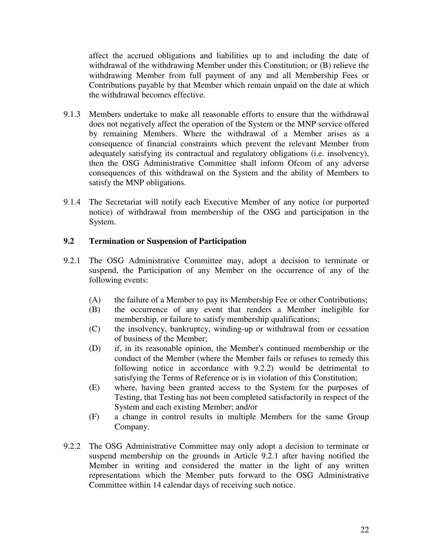affect the accrued obligations and liabilities up to and including the date of withdrawal of the withdrawing Member under this Constitution; or (B) relieve the withdrawing Member from full payment of any and all Membership Fees or Contributions payable by that Member which remain unpaid on the date at which the withdrawal becomes effective.

- 9.1.3 Members undertake to make all reasonable efforts to ensure that the withdrawal does not negatively affect the operation of the System or the MNP service offered by remaining Members. Where the withdrawal of a Member arises as a consequence of financial constraints which prevent the relevant Member from adequately satisfying its contractual and regulatory obligations (i.e. insolvency), then the OSG Administrative Committee shall inform Ofcom of any adverse consequences of this withdrawal on the System and the ability of Members to satisfy the MNP obligations.
- 9.1.4 The Secretariat will notify each Executive Member of any notice (or purported notice) of withdrawal from membership of the OSG and participation in the System.

# **9.2 Termination or Suspension of Participation**

- 9.2.1 The OSG Administrative Committee may, adopt a decision to terminate or suspend, the Participation of any Member on the occurrence of any of the following events:
	- (A) the failure of a Member to pay its Membership Fee or other Contributions;
	- (B) the occurrence of any event that renders a Member ineligible for membership, or failure to satisfy membership qualifications;
	- (C) the insolvency, bankruptcy, winding-up or withdrawal from or cessation of business of the Member;
	- (D) if, in its reasonable opinion, the Member's continued membership or the conduct of the Member (where the Member fails or refuses to remedy this following notice in accordance with 9.2.2) would be detrimental to satisfying the Terms of Reference or is in violation of this Constitution;
	- (E) where, having been granted access to the System for the purposes of Testing, that Testing has not been completed satisfactorily in respect of the System and each existing Member; and/or
	- (F) a change in control results in multiple Members for the same Group Company.
- 9.2.2 The OSG Administrative Committee may only adopt a decision to terminate or suspend membership on the grounds in Article 9.2.1 after having notified the Member in writing and considered the matter in the light of any written representations which the Member puts forward to the OSG Administrative Committee within 14 calendar days of receiving such notice.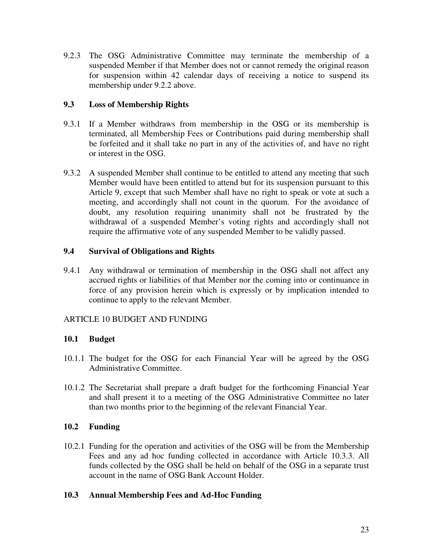9.2.3 The OSG Administrative Committee may terminate the membership of a suspended Member if that Member does not or cannot remedy the original reason for suspension within 42 calendar days of receiving a notice to suspend its membership under 9.2.2 above.

# **9.3 Loss of Membership Rights**

- 9.3.1 If a Member withdraws from membership in the OSG or its membership is terminated, all Membership Fees or Contributions paid during membership shall be forfeited and it shall take no part in any of the activities of, and have no right or interest in the OSG.
- 9.3.2 A suspended Member shall continue to be entitled to attend any meeting that such Member would have been entitled to attend but for its suspension pursuant to this Article 9, except that such Member shall have no right to speak or vote at such a meeting, and accordingly shall not count in the quorum. For the avoidance of doubt, any resolution requiring unanimity shall not be frustrated by the withdrawal of a suspended Member's voting rights and accordingly shall not require the affirmative vote of any suspended Member to be validly passed.

# **9.4 Survival of Obligations and Rights**

9.4.1 Any withdrawal or termination of membership in the OSG shall not affect any accrued rights or liabilities of that Member nor the coming into or continuance in force of any provision herein which is expressly or by implication intended to continue to apply to the relevant Member.

# ARTICLE 10 BUDGET AND FUNDING

# **10.1 Budget**

- 10.1.1 The budget for the OSG for each Financial Year will be agreed by the OSG Administrative Committee.
- 10.1.2 The Secretariat shall prepare a draft budget for the forthcoming Financial Year and shall present it to a meeting of the OSG Administrative Committee no later than two months prior to the beginning of the relevant Financial Year.

# **10.2 Funding**

10.2.1 Funding for the operation and activities of the OSG will be from the Membership Fees and any ad hoc funding collected in accordance with Article 10.3.3. All funds collected by the OSG shall be held on behalf of the OSG in a separate trust account in the name of OSG Bank Account Holder.

# **10.3 Annual Membership Fees and Ad-Hoc Funding**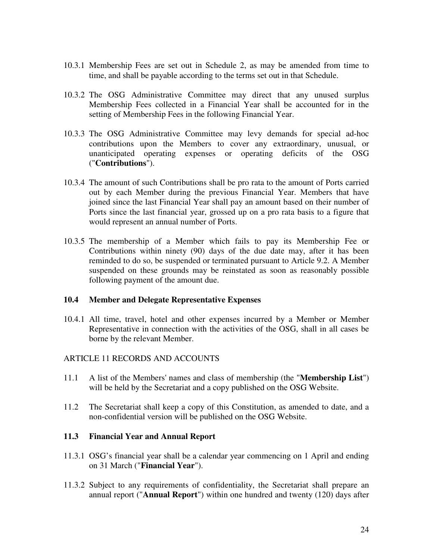- 10.3.1 Membership Fees are set out in Schedule 2, as may be amended from time to time, and shall be payable according to the terms set out in that Schedule.
- 10.3.2 The OSG Administrative Committee may direct that any unused surplus Membership Fees collected in a Financial Year shall be accounted for in the setting of Membership Fees in the following Financial Year.
- 10.3.3 The OSG Administrative Committee may levy demands for special ad-hoc contributions upon the Members to cover any extraordinary, unusual, or unanticipated operating expenses or operating deficits of the OSG ("**Contributions**").
- 10.3.4 The amount of such Contributions shall be pro rata to the amount of Ports carried out by each Member during the previous Financial Year. Members that have joined since the last Financial Year shall pay an amount based on their number of Ports since the last financial year, grossed up on a pro rata basis to a figure that would represent an annual number of Ports.
- 10.3.5 The membership of a Member which fails to pay its Membership Fee or Contributions within ninety (90) days of the due date may, after it has been reminded to do so, be suspended or terminated pursuant to Article 9.2. A Member suspended on these grounds may be reinstated as soon as reasonably possible following payment of the amount due.

#### **10.4 Member and Delegate Representative Expenses**

10.4.1 All time, travel, hotel and other expenses incurred by a Member or Member Representative in connection with the activities of the OSG, shall in all cases be borne by the relevant Member.

#### ARTICLE 11 RECORDS AND ACCOUNTS

- 11.1 A list of the Members' names and class of membership (the "**Membership List**") will be held by the Secretariat and a copy published on the OSG Website.
- 11.2 The Secretariat shall keep a copy of this Constitution, as amended to date, and a non-confidential version will be published on the OSG Website.

#### **11.3 Financial Year and Annual Report**

- 11.3.1 OSG's financial year shall be a calendar year commencing on 1 April and ending on 31 March ("**Financial Year**").
- 11.3.2 Subject to any requirements of confidentiality, the Secretariat shall prepare an annual report ("**Annual Report**") within one hundred and twenty (120) days after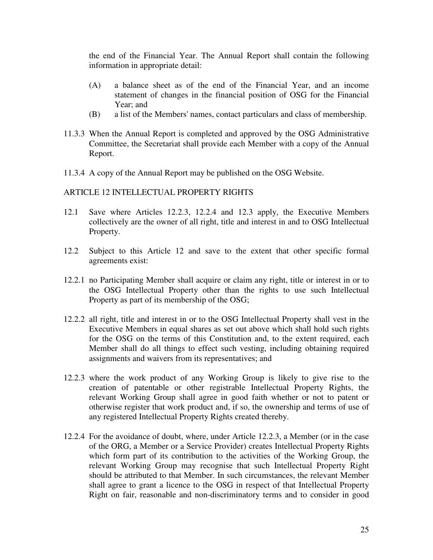the end of the Financial Year. The Annual Report shall contain the following information in appropriate detail:

- (A) a balance sheet as of the end of the Financial Year, and an income statement of changes in the financial position of OSG for the Financial Year; and
- (B) a list of the Members' names, contact particulars and class of membership.
- 11.3.3 When the Annual Report is completed and approved by the OSG Administrative Committee, the Secretariat shall provide each Member with a copy of the Annual Report.
- 11.3.4 A copy of the Annual Report may be published on the OSG Website.

#### ARTICLE 12 INTELLECTUAL PROPERTY RIGHTS

- 12.1 Save where Articles 12.2.3, 12.2.4 and 12.3 apply, the Executive Members collectively are the owner of all right, title and interest in and to OSG Intellectual Property.
- 12.2 Subject to this Article 12 and save to the extent that other specific formal agreements exist:
- 12.2.1 no Participating Member shall acquire or claim any right, title or interest in or to the OSG Intellectual Property other than the rights to use such Intellectual Property as part of its membership of the OSG;
- 12.2.2 all right, title and interest in or to the OSG Intellectual Property shall vest in the Executive Members in equal shares as set out above which shall hold such rights for the OSG on the terms of this Constitution and, to the extent required, each Member shall do all things to effect such vesting, including obtaining required assignments and waivers from its representatives; and
- 12.2.3 where the work product of any Working Group is likely to give rise to the creation of patentable or other registrable Intellectual Property Rights, the relevant Working Group shall agree in good faith whether or not to patent or otherwise register that work product and, if so, the ownership and terms of use of any registered Intellectual Property Rights created thereby.
- 12.2.4 For the avoidance of doubt, where, under Article 12.2.3, a Member (or in the case of the ORG, a Member or a Service Provider) creates Intellectual Property Rights which form part of its contribution to the activities of the Working Group, the relevant Working Group may recognise that such Intellectual Property Right should be attributed to that Member. In such circumstances, the relevant Member shall agree to grant a licence to the OSG in respect of that Intellectual Property Right on fair, reasonable and non-discriminatory terms and to consider in good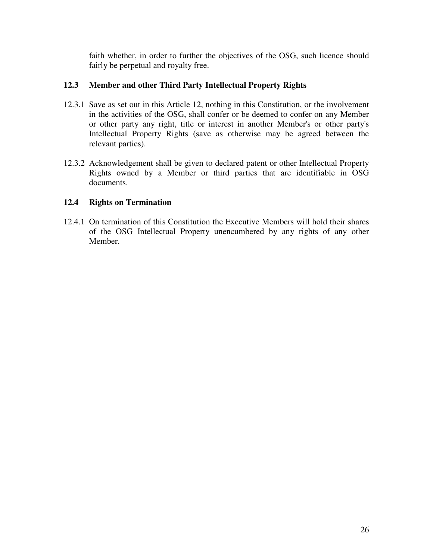faith whether, in order to further the objectives of the OSG, such licence should fairly be perpetual and royalty free.

# **12.3 Member and other Third Party Intellectual Property Rights**

- 12.3.1 Save as set out in this Article 12, nothing in this Constitution, or the involvement in the activities of the OSG, shall confer or be deemed to confer on any Member or other party any right, title or interest in another Member's or other party's Intellectual Property Rights (save as otherwise may be agreed between the relevant parties).
- 12.3.2 Acknowledgement shall be given to declared patent or other Intellectual Property Rights owned by a Member or third parties that are identifiable in OSG documents.

# **12.4 Rights on Termination**

12.4.1 On termination of this Constitution the Executive Members will hold their shares of the OSG Intellectual Property unencumbered by any rights of any other Member.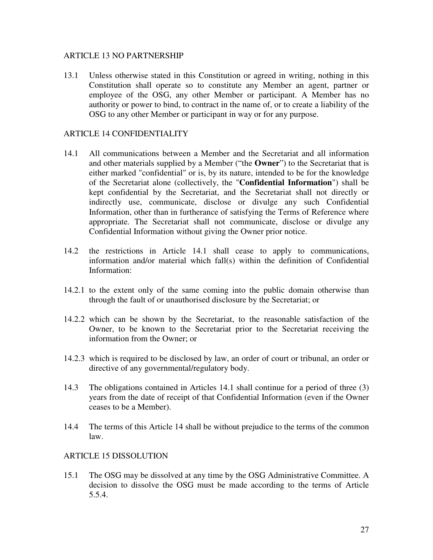#### ARTICLE 13 NO PARTNERSHIP

13.1 Unless otherwise stated in this Constitution or agreed in writing, nothing in this Constitution shall operate so to constitute any Member an agent, partner or employee of the OSG, any other Member or participant. A Member has no authority or power to bind, to contract in the name of, or to create a liability of the OSG to any other Member or participant in way or for any purpose.

#### ARTICLE 14 CONFIDENTIALITY

- 14.1 All communications between a Member and the Secretariat and all information and other materials supplied by a Member ("the **Owner**") to the Secretariat that is either marked "confidential" or is, by its nature, intended to be for the knowledge of the Secretariat alone (collectively, the "**Confidential Information**") shall be kept confidential by the Secretariat, and the Secretariat shall not directly or indirectly use, communicate, disclose or divulge any such Confidential Information, other than in furtherance of satisfying the Terms of Reference where appropriate. The Secretariat shall not communicate, disclose or divulge any Confidential Information without giving the Owner prior notice.
- 14.2 the restrictions in Article 14.1 shall cease to apply to communications, information and/or material which fall(s) within the definition of Confidential Information:
- 14.2.1 to the extent only of the same coming into the public domain otherwise than through the fault of or unauthorised disclosure by the Secretariat; or
- 14.2.2 which can be shown by the Secretariat, to the reasonable satisfaction of the Owner, to be known to the Secretariat prior to the Secretariat receiving the information from the Owner; or
- 14.2.3 which is required to be disclosed by law, an order of court or tribunal, an order or directive of any governmental/regulatory body.
- 14.3 The obligations contained in Articles 14.1 shall continue for a period of three (3) years from the date of receipt of that Confidential Information (even if the Owner ceases to be a Member).
- 14.4 The terms of this Article 14 shall be without prejudice to the terms of the common law.

#### ARTICLE 15 DISSOLUTION

15.1 The OSG may be dissolved at any time by the OSG Administrative Committee. A decision to dissolve the OSG must be made according to the terms of Article 5.5.4.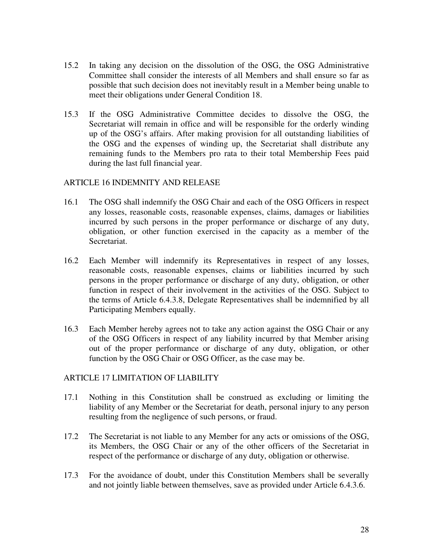- 15.2 In taking any decision on the dissolution of the OSG, the OSG Administrative Committee shall consider the interests of all Members and shall ensure so far as possible that such decision does not inevitably result in a Member being unable to meet their obligations under General Condition 18.
- 15.3 If the OSG Administrative Committee decides to dissolve the OSG, the Secretariat will remain in office and will be responsible for the orderly winding up of the OSG's affairs. After making provision for all outstanding liabilities of the OSG and the expenses of winding up, the Secretariat shall distribute any remaining funds to the Members pro rata to their total Membership Fees paid during the last full financial year.

### ARTICLE 16 INDEMNITY AND RELEASE

- 16.1 The OSG shall indemnify the OSG Chair and each of the OSG Officers in respect any losses, reasonable costs, reasonable expenses, claims, damages or liabilities incurred by such persons in the proper performance or discharge of any duty, obligation, or other function exercised in the capacity as a member of the Secretariat.
- 16.2 Each Member will indemnify its Representatives in respect of any losses, reasonable costs, reasonable expenses, claims or liabilities incurred by such persons in the proper performance or discharge of any duty, obligation, or other function in respect of their involvement in the activities of the OSG. Subject to the terms of Article 6.4.3.8, Delegate Representatives shall be indemnified by all Participating Members equally.
- 16.3 Each Member hereby agrees not to take any action against the OSG Chair or any of the OSG Officers in respect of any liability incurred by that Member arising out of the proper performance or discharge of any duty, obligation, or other function by the OSG Chair or OSG Officer, as the case may be.

#### ARTICLE 17 LIMITATION OF LIABILITY

- 17.1 Nothing in this Constitution shall be construed as excluding or limiting the liability of any Member or the Secretariat for death, personal injury to any person resulting from the negligence of such persons, or fraud.
- 17.2 The Secretariat is not liable to any Member for any acts or omissions of the OSG, its Members, the OSG Chair or any of the other officers of the Secretariat in respect of the performance or discharge of any duty, obligation or otherwise.
- 17.3 For the avoidance of doubt, under this Constitution Members shall be severally and not jointly liable between themselves, save as provided under Article 6.4.3.6.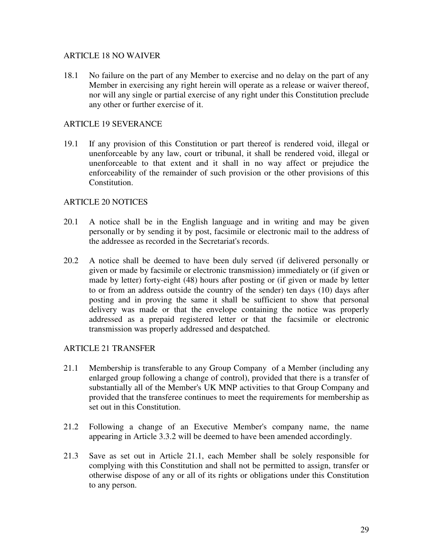### ARTICLE 18 NO WAIVER

18.1 No failure on the part of any Member to exercise and no delay on the part of any Member in exercising any right herein will operate as a release or waiver thereof, nor will any single or partial exercise of any right under this Constitution preclude any other or further exercise of it.

### ARTICLE 19 SEVERANCE

19.1 If any provision of this Constitution or part thereof is rendered void, illegal or unenforceable by any law, court or tribunal, it shall be rendered void, illegal or unenforceable to that extent and it shall in no way affect or prejudice the enforceability of the remainder of such provision or the other provisions of this Constitution.

#### ARTICLE 20 NOTICES

- 20.1 A notice shall be in the English language and in writing and may be given personally or by sending it by post, facsimile or electronic mail to the address of the addressee as recorded in the Secretariat's records.
- 20.2 A notice shall be deemed to have been duly served (if delivered personally or given or made by facsimile or electronic transmission) immediately or (if given or made by letter) forty-eight (48) hours after posting or (if given or made by letter to or from an address outside the country of the sender) ten days (10) days after posting and in proving the same it shall be sufficient to show that personal delivery was made or that the envelope containing the notice was properly addressed as a prepaid registered letter or that the facsimile or electronic transmission was properly addressed and despatched.

# ARTICLE 21 TRANSFER

- 21.1 Membership is transferable to any Group Company of a Member (including any enlarged group following a change of control), provided that there is a transfer of substantially all of the Member's UK MNP activities to that Group Company and provided that the transferee continues to meet the requirements for membership as set out in this Constitution.
- 21.2 Following a change of an Executive Member's company name, the name appearing in Article 3.3.2 will be deemed to have been amended accordingly.
- 21.3 Save as set out in Article 21.1, each Member shall be solely responsible for complying with this Constitution and shall not be permitted to assign, transfer or otherwise dispose of any or all of its rights or obligations under this Constitution to any person.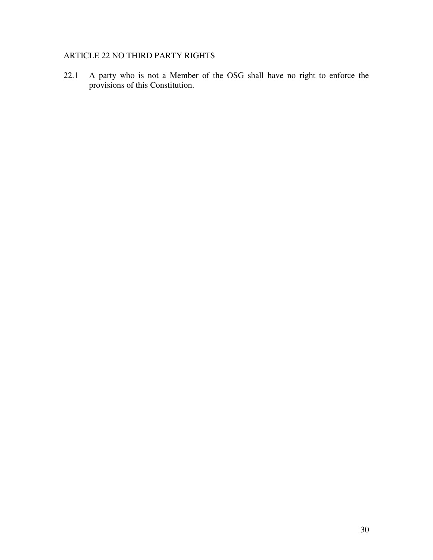# ARTICLE 22 NO THIRD PARTY RIGHTS

22.1 A party who is not a Member of the OSG shall have no right to enforce the provisions of this Constitution.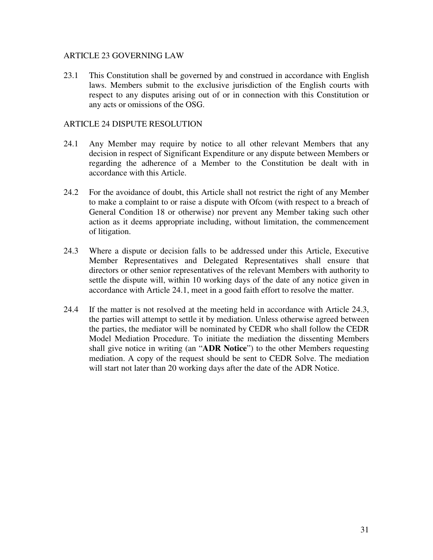#### ARTICLE 23 GOVERNING LAW

23.1 This Constitution shall be governed by and construed in accordance with English laws. Members submit to the exclusive jurisdiction of the English courts with respect to any disputes arising out of or in connection with this Constitution or any acts or omissions of the OSG.

### ARTICLE 24 DISPUTE RESOLUTION

- 24.1 Any Member may require by notice to all other relevant Members that any decision in respect of Significant Expenditure or any dispute between Members or regarding the adherence of a Member to the Constitution be dealt with in accordance with this Article.
- 24.2 For the avoidance of doubt, this Article shall not restrict the right of any Member to make a complaint to or raise a dispute with Ofcom (with respect to a breach of General Condition 18 or otherwise) nor prevent any Member taking such other action as it deems appropriate including, without limitation, the commencement of litigation.
- 24.3 Where a dispute or decision falls to be addressed under this Article, Executive Member Representatives and Delegated Representatives shall ensure that directors or other senior representatives of the relevant Members with authority to settle the dispute will, within 10 working days of the date of any notice given in accordance with Article 24.1, meet in a good faith effort to resolve the matter.
- 24.4 If the matter is not resolved at the meeting held in accordance with Article 24.3, the parties will attempt to settle it by mediation. Unless otherwise agreed between the parties, the mediator will be nominated by CEDR who shall follow the CEDR Model Mediation Procedure. To initiate the mediation the dissenting Members shall give notice in writing (an "**ADR Notice**") to the other Members requesting mediation. A copy of the request should be sent to CEDR Solve. The mediation will start not later than 20 working days after the date of the ADR Notice.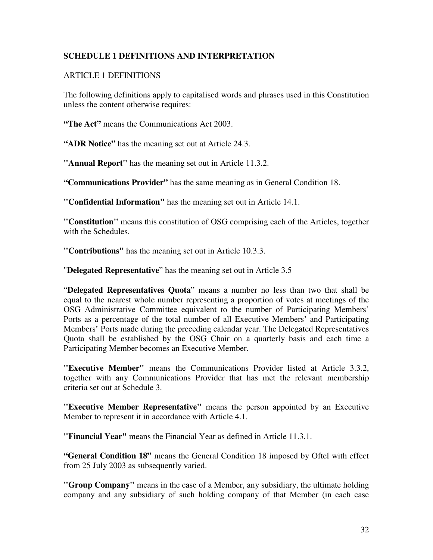# **SCHEDULE 1 DEFINITIONS AND INTERPRETATION**

### ARTICLE 1 DEFINITIONS

The following definitions apply to capitalised words and phrases used in this Constitution unless the content otherwise requires:

**"The Act"** means the Communications Act 2003.

**"ADR Notice"** has the meaning set out at Article 24.3.

**"Annual Report"** has the meaning set out in Article 11.3.2.

**"Communications Provider"** has the same meaning as in General Condition 18.

**"Confidential Information"** has the meaning set out in Article 14.1.

**"Constitution"** means this constitution of OSG comprising each of the Articles, together with the Schedules.

**"Contributions"** has the meaning set out in Article 10.3.3.

"**Delegated Representative**" has the meaning set out in Article 3.5

"**Delegated Representatives Quota**" means a number no less than two that shall be equal to the nearest whole number representing a proportion of votes at meetings of the OSG Administrative Committee equivalent to the number of Participating Members' Ports as a percentage of the total number of all Executive Members' and Participating Members' Ports made during the preceding calendar year. The Delegated Representatives Quota shall be established by the OSG Chair on a quarterly basis and each time a Participating Member becomes an Executive Member.

**"Executive Member"** means the Communications Provider listed at Article 3.3.2, together with any Communications Provider that has met the relevant membership criteria set out at Schedule 3.

**"Executive Member Representative"** means the person appointed by an Executive Member to represent it in accordance with Article 4.1.

**"Financial Year"** means the Financial Year as defined in Article 11.3.1.

**"General Condition 18"** means the General Condition 18 imposed by Oftel with effect from 25 July 2003 as subsequently varied.

**"Group Company"** means in the case of a Member, any subsidiary, the ultimate holding company and any subsidiary of such holding company of that Member (in each case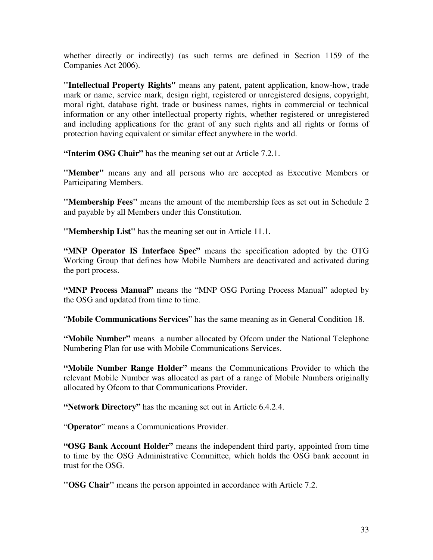whether directly or indirectly) (as such terms are defined in Section 1159 of the Companies Act 2006).

**"Intellectual Property Rights"** means any patent, patent application, know-how, trade mark or name, service mark, design right, registered or unregistered designs, copyright, moral right, database right, trade or business names, rights in commercial or technical information or any other intellectual property rights, whether registered or unregistered and including applications for the grant of any such rights and all rights or forms of protection having equivalent or similar effect anywhere in the world.

**"Interim OSG Chair"** has the meaning set out at Article 7.2.1.

**"Member"** means any and all persons who are accepted as Executive Members or Participating Members.

**"Membership Fees"** means the amount of the membership fees as set out in Schedule 2 and payable by all Members under this Constitution.

**"Membership List"** has the meaning set out in Article 11.1.

**"MNP Operator IS Interface Spec"** means the specification adopted by the OTG Working Group that defines how Mobile Numbers are deactivated and activated during the port process.

**"MNP Process Manual"** means the "MNP OSG Porting Process Manual" adopted by the OSG and updated from time to time.

"**Mobile Communications Services**" has the same meaning as in General Condition 18.

**"Mobile Number"** means a number allocated by Ofcom under the National Telephone Numbering Plan for use with Mobile Communications Services.

**"Mobile Number Range Holder"** means the Communications Provider to which the relevant Mobile Number was allocated as part of a range of Mobile Numbers originally allocated by Ofcom to that Communications Provider.

**"Network Directory"** has the meaning set out in Article 6.4.2.4.

"**Operator**" means a Communications Provider.

**"OSG Bank Account Holder"** means the independent third party, appointed from time to time by the OSG Administrative Committee, which holds the OSG bank account in trust for the OSG.

**"OSG Chair"** means the person appointed in accordance with Article 7.2.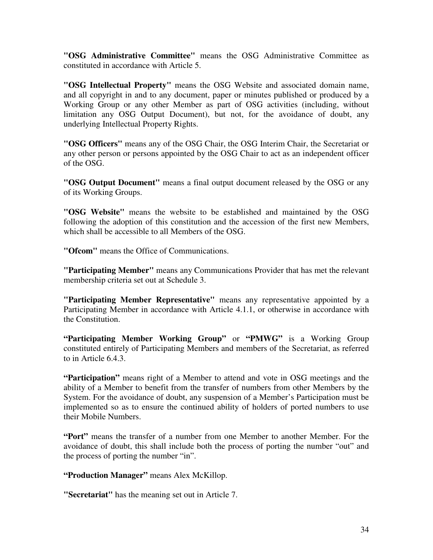**"OSG Administrative Committee"** means the OSG Administrative Committee as constituted in accordance with Article 5.

**"OSG Intellectual Property"** means the OSG Website and associated domain name, and all copyright in and to any document, paper or minutes published or produced by a Working Group or any other Member as part of OSG activities (including, without limitation any OSG Output Document), but not, for the avoidance of doubt, any underlying Intellectual Property Rights.

**"OSG Officers"** means any of the OSG Chair, the OSG Interim Chair, the Secretariat or any other person or persons appointed by the OSG Chair to act as an independent officer of the OSG.

**"OSG Output Document"** means a final output document released by the OSG or any of its Working Groups.

**"OSG Website"** means the website to be established and maintained by the OSG following the adoption of this constitution and the accession of the first new Members, which shall be accessible to all Members of the OSG.

**"Ofcom"** means the Office of Communications.

**"Participating Member"** means any Communications Provider that has met the relevant membership criteria set out at Schedule 3.

**"Participating Member Representative"** means any representative appointed by a Participating Member in accordance with Article 4.1.1, or otherwise in accordance with the Constitution.

**"Participating Member Working Group"** or **"PMWG"** is a Working Group constituted entirely of Participating Members and members of the Secretariat, as referred to in Article 6.4.3.

**"Participation"** means right of a Member to attend and vote in OSG meetings and the ability of a Member to benefit from the transfer of numbers from other Members by the System. For the avoidance of doubt, any suspension of a Member's Participation must be implemented so as to ensure the continued ability of holders of ported numbers to use their Mobile Numbers.

**"Port"** means the transfer of a number from one Member to another Member. For the avoidance of doubt, this shall include both the process of porting the number "out" and the process of porting the number "in".

**"Production Manager"** means Alex McKillop.

**"Secretariat"** has the meaning set out in Article 7.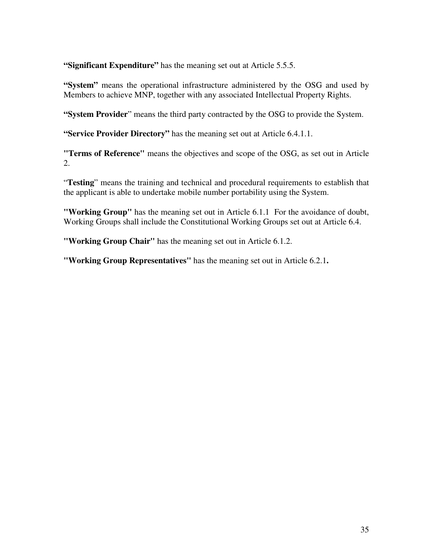**"Significant Expenditure"** has the meaning set out at Article 5.5.5.

**"System"** means the operational infrastructure administered by the OSG and used by Members to achieve MNP, together with any associated Intellectual Property Rights.

**"System Provider**" means the third party contracted by the OSG to provide the System.

**"Service Provider Directory"** has the meaning set out at Article 6.4.1.1.

**"Terms of Reference"** means the objectives and scope of the OSG, as set out in Article 2.

"**Testing**" means the training and technical and procedural requirements to establish that the applicant is able to undertake mobile number portability using the System.

**"Working Group"** has the meaning set out in Article 6.1.1 For the avoidance of doubt, Working Groups shall include the Constitutional Working Groups set out at Article 6.4.

**"Working Group Chair"** has the meaning set out in Article 6.1.2.

**"Working Group Representatives"** has the meaning set out in Article 6.2.1**.**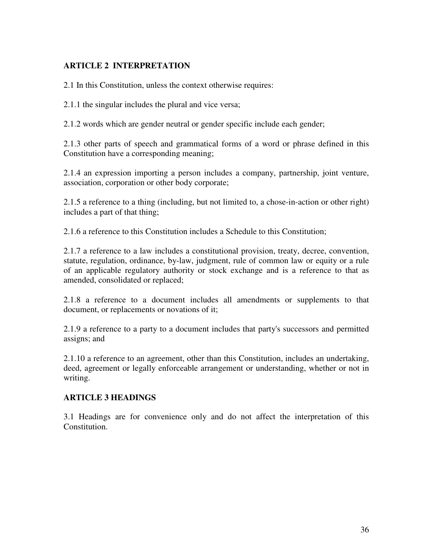# **ARTICLE 2 INTERPRETATION**

2.1 In this Constitution, unless the context otherwise requires:

2.1.1 the singular includes the plural and vice versa;

2.1.2 words which are gender neutral or gender specific include each gender;

2.1.3 other parts of speech and grammatical forms of a word or phrase defined in this Constitution have a corresponding meaning;

2.1.4 an expression importing a person includes a company, partnership, joint venture, association, corporation or other body corporate;

2.1.5 a reference to a thing (including, but not limited to, a chose-in-action or other right) includes a part of that thing;

2.1.6 a reference to this Constitution includes a Schedule to this Constitution;

2.1.7 a reference to a law includes a constitutional provision, treaty, decree, convention, statute, regulation, ordinance, by-law, judgment, rule of common law or equity or a rule of an applicable regulatory authority or stock exchange and is a reference to that as amended, consolidated or replaced;

2.1.8 a reference to a document includes all amendments or supplements to that document, or replacements or novations of it;

2.1.9 a reference to a party to a document includes that party's successors and permitted assigns; and

2.1.10 a reference to an agreement, other than this Constitution, includes an undertaking, deed, agreement or legally enforceable arrangement or understanding, whether or not in writing.

# **ARTICLE 3 HEADINGS**

3.1 Headings are for convenience only and do not affect the interpretation of this Constitution.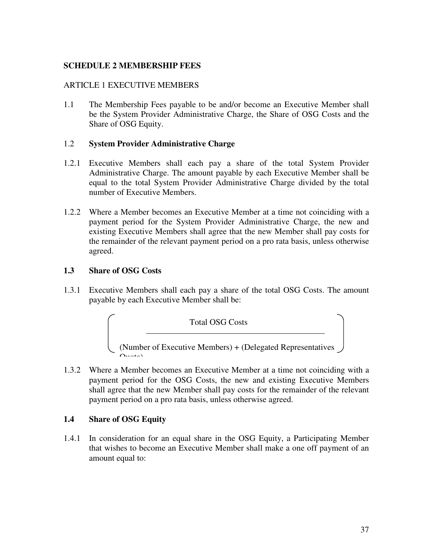### **SCHEDULE 2 MEMBERSHIP FEES**

#### ARTICLE 1 EXECUTIVE MEMBERS

1.1 The Membership Fees payable to be and/or become an Executive Member shall be the System Provider Administrative Charge, the Share of OSG Costs and the Share of OSG Equity.

#### 1.2 **System Provider Administrative Charge**

- 1.2.1 Executive Members shall each pay a share of the total System Provider Administrative Charge. The amount payable by each Executive Member shall be equal to the total System Provider Administrative Charge divided by the total number of Executive Members.
- 1.2.2 Where a Member becomes an Executive Member at a time not coinciding with a payment period for the System Provider Administrative Charge, the new and existing Executive Members shall agree that the new Member shall pay costs for the remainder of the relevant payment period on a pro rata basis, unless otherwise agreed.

#### **1.3 Share of OSG Costs**

1.3.1 Executive Members shall each pay a share of the total OSG Costs. The amount payable by each Executive Member shall be:



1.3.2 Where a Member becomes an Executive Member at a time not coinciding with a payment period for the OSG Costs, the new and existing Executive Members shall agree that the new Member shall pay costs for the remainder of the relevant payment period on a pro rata basis, unless otherwise agreed.

#### **1.4 Share of OSG Equity**

1.4.1 In consideration for an equal share in the OSG Equity, a Participating Member that wishes to become an Executive Member shall make a one off payment of an amount equal to: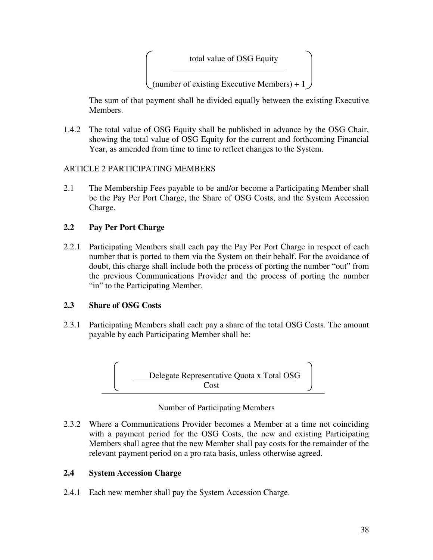

(number of existing Executive Members) +  $1$ 

The sum of that payment shall be divided equally between the existing Executive Members.

1.4.2 The total value of OSG Equity shall be published in advance by the OSG Chair, showing the total value of OSG Equity for the current and forthcoming Financial Year, as amended from time to time to reflect changes to the System.

# ARTICLE 2 PARTICIPATING MEMBERS

2.1 The Membership Fees payable to be and/or become a Participating Member shall be the Pay Per Port Charge, the Share of OSG Costs, and the System Accession Charge.

# **2.2 Pay Per Port Charge**

2.2.1 Participating Members shall each pay the Pay Per Port Charge in respect of each number that is ported to them via the System on their behalf. For the avoidance of doubt, this charge shall include both the process of porting the number "out" from the previous Communications Provider and the process of porting the number "in" to the Participating Member.

# **2.3 Share of OSG Costs**

2.3.1 Participating Members shall each pay a share of the total OSG Costs. The amount payable by each Participating Member shall be:



Number of Participating Members

2.3.2 Where a Communications Provider becomes a Member at a time not coinciding with a payment period for the OSG Costs, the new and existing Participating Members shall agree that the new Member shall pay costs for the remainder of the relevant payment period on a pro rata basis, unless otherwise agreed.

# **2.4 System Accession Charge**

2.4.1 Each new member shall pay the System Accession Charge.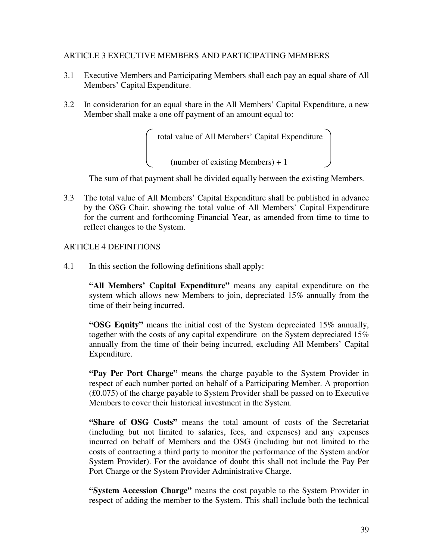#### ARTICLE 3 EXECUTIVE MEMBERS AND PARTICIPATING MEMBERS

- 3.1 Executive Members and Participating Members shall each pay an equal share of All Members' Capital Expenditure.
- 3.2 In consideration for an equal share in the All Members' Capital Expenditure, a new Member shall make a one off payment of an amount equal to:

total value of All Members' Capital Expenditure

(number of existing Members) + 1

The sum of that payment shall be divided equally between the existing Members.

3.3 The total value of All Members' Capital Expenditure shall be published in advance by the OSG Chair, showing the total value of All Members' Capital Expenditure for the current and forthcoming Financial Year, as amended from time to time to reflect changes to the System.

# ARTICLE 4 DEFINITIONS

4.1 In this section the following definitions shall apply:

**"All Members' Capital Expenditure"** means any capital expenditure on the system which allows new Members to join, depreciated 15% annually from the time of their being incurred.

**"OSG Equity"** means the initial cost of the System depreciated 15% annually, together with the costs of any capital expenditure on the System depreciated 15% annually from the time of their being incurred, excluding All Members' Capital Expenditure.

**"Pay Per Port Charge"** means the charge payable to the System Provider in respect of each number ported on behalf of a Participating Member. A proportion (£0.075) of the charge payable to System Provider shall be passed on to Executive Members to cover their historical investment in the System.

**"Share of OSG Costs"** means the total amount of costs of the Secretariat (including but not limited to salaries, fees, and expenses) and any expenses incurred on behalf of Members and the OSG (including but not limited to the costs of contracting a third party to monitor the performance of the System and/or System Provider). For the avoidance of doubt this shall not include the Pay Per Port Charge or the System Provider Administrative Charge.

**"System Accession Charge"** means the cost payable to the System Provider in respect of adding the member to the System. This shall include both the technical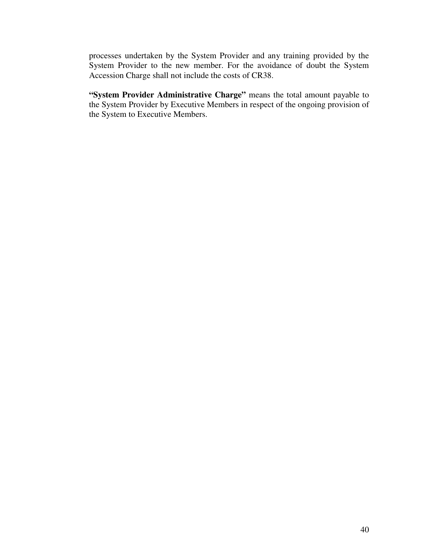processes undertaken by the System Provider and any training provided by the System Provider to the new member. For the avoidance of doubt the System Accession Charge shall not include the costs of CR38.

**"System Provider Administrative Charge"** means the total amount payable to the System Provider by Executive Members in respect of the ongoing provision of the System to Executive Members.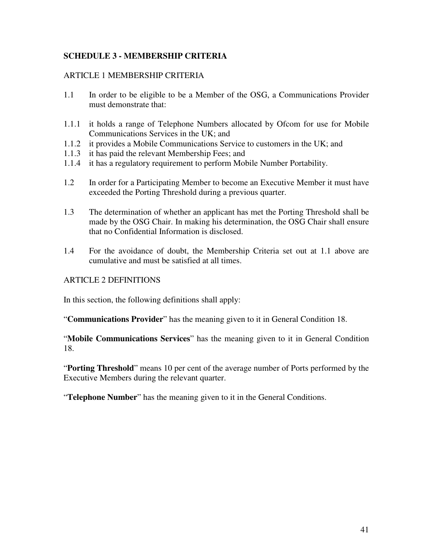# **SCHEDULE 3 - MEMBERSHIP CRITERIA**

### ARTICLE 1 MEMBERSHIP CRITERIA

- 1.1 In order to be eligible to be a Member of the OSG, a Communications Provider must demonstrate that:
- 1.1.1 it holds a range of Telephone Numbers allocated by Ofcom for use for Mobile Communications Services in the UK; and
- 1.1.2 it provides a Mobile Communications Service to customers in the UK; and
- 1.1.3 it has paid the relevant Membership Fees; and
- 1.1.4 it has a regulatory requirement to perform Mobile Number Portability.
- 1.2 In order for a Participating Member to become an Executive Member it must have exceeded the Porting Threshold during a previous quarter.
- 1.3 The determination of whether an applicant has met the Porting Threshold shall be made by the OSG Chair. In making his determination, the OSG Chair shall ensure that no Confidential Information is disclosed.
- 1.4 For the avoidance of doubt, the Membership Criteria set out at 1.1 above are cumulative and must be satisfied at all times.

#### ARTICLE 2 DEFINITIONS

In this section, the following definitions shall apply:

"**Communications Provider**" has the meaning given to it in General Condition 18.

"**Mobile Communications Services**" has the meaning given to it in General Condition 18.

"**Porting Threshold**" means 10 per cent of the average number of Ports performed by the Executive Members during the relevant quarter.

"**Telephone Number**" has the meaning given to it in the General Conditions.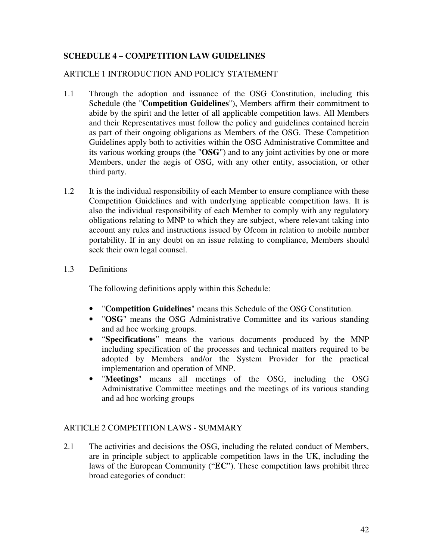# **SCHEDULE 4 – COMPETITION LAW GUIDELINES**

# ARTICLE 1 INTRODUCTION AND POLICY STATEMENT

- 1.1 Through the adoption and issuance of the OSG Constitution, including this Schedule (the "**Competition Guidelines**"), Members affirm their commitment to abide by the spirit and the letter of all applicable competition laws. All Members and their Representatives must follow the policy and guidelines contained herein as part of their ongoing obligations as Members of the OSG. These Competition Guidelines apply both to activities within the OSG Administrative Committee and its various working groups (the "**OSG**") and to any joint activities by one or more Members, under the aegis of OSG, with any other entity, association, or other third party.
- 1.2 It is the individual responsibility of each Member to ensure compliance with these Competition Guidelines and with underlying applicable competition laws. It is also the individual responsibility of each Member to comply with any regulatory obligations relating to MNP to which they are subject, where relevant taking into account any rules and instructions issued by Ofcom in relation to mobile number portability. If in any doubt on an issue relating to compliance, Members should seek their own legal counsel.
- 1.3 Definitions

The following definitions apply within this Schedule:

- "**Competition Guidelines**" means this Schedule of the OSG Constitution.
- "**OSG**" means the OSG Administrative Committee and its various standing and ad hoc working groups.
- "**Specifications**" means the various documents produced by the MNP including specification of the processes and technical matters required to be adopted by Members and/or the System Provider for the practical implementation and operation of MNP.
- "**Meetings**" means all meetings of the OSG, including the OSG Administrative Committee meetings and the meetings of its various standing and ad hoc working groups

# ARTICLE 2 COMPETITION LAWS - SUMMARY

2.1 The activities and decisions the OSG, including the related conduct of Members, are in principle subject to applicable competition laws in the UK, including the laws of the European Community ("**EC**"). These competition laws prohibit three broad categories of conduct: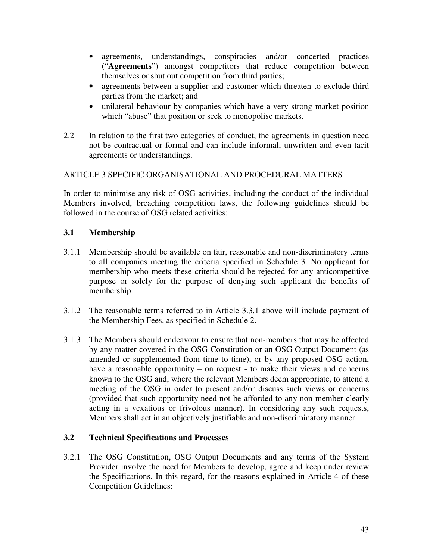- agreements, understandings, conspiracies and/or concerted practices ("**Agreements**") amongst competitors that reduce competition between themselves or shut out competition from third parties;
- agreements between a supplier and customer which threaten to exclude third parties from the market; and
- unilateral behaviour by companies which have a very strong market position which "abuse" that position or seek to monopolise markets.
- 2.2 In relation to the first two categories of conduct, the agreements in question need not be contractual or formal and can include informal, unwritten and even tacit agreements or understandings.

# ARTICLE 3 SPECIFIC ORGANISATIONAL AND PROCEDURAL MATTERS

In order to minimise any risk of OSG activities, including the conduct of the individual Members involved, breaching competition laws, the following guidelines should be followed in the course of OSG related activities:

# **3.1 Membership**

- 3.1.1 Membership should be available on fair, reasonable and non-discriminatory terms to all companies meeting the criteria specified in Schedule 3. No applicant for membership who meets these criteria should be rejected for any anticompetitive purpose or solely for the purpose of denying such applicant the benefits of membership.
- 3.1.2 The reasonable terms referred to in Article 3.3.1 above will include payment of the Membership Fees, as specified in Schedule 2.
- 3.1.3 The Members should endeavour to ensure that non-members that may be affected by any matter covered in the OSG Constitution or an OSG Output Document (as amended or supplemented from time to time), or by any proposed OSG action, have a reasonable opportunity – on request - to make their views and concerns known to the OSG and, where the relevant Members deem appropriate, to attend a meeting of the OSG in order to present and/or discuss such views or concerns (provided that such opportunity need not be afforded to any non-member clearly acting in a vexatious or frivolous manner). In considering any such requests, Members shall act in an objectively justifiable and non-discriminatory manner.

# **3.2 Technical Specifications and Processes**

3.2.1 The OSG Constitution, OSG Output Documents and any terms of the System Provider involve the need for Members to develop, agree and keep under review the Specifications. In this regard, for the reasons explained in Article 4 of these Competition Guidelines: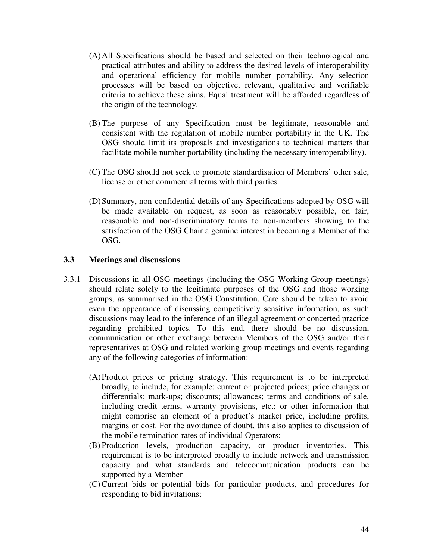- (A) All Specifications should be based and selected on their technological and practical attributes and ability to address the desired levels of interoperability and operational efficiency for mobile number portability. Any selection processes will be based on objective, relevant, qualitative and verifiable criteria to achieve these aims. Equal treatment will be afforded regardless of the origin of the technology.
- (B) The purpose of any Specification must be legitimate, reasonable and consistent with the regulation of mobile number portability in the UK. The OSG should limit its proposals and investigations to technical matters that facilitate mobile number portability (including the necessary interoperability).
- (C) The OSG should not seek to promote standardisation of Members' other sale, license or other commercial terms with third parties.
- (D) Summary, non-confidential details of any Specifications adopted by OSG will be made available on request, as soon as reasonably possible, on fair, reasonable and non-discriminatory terms to non-members showing to the satisfaction of the OSG Chair a genuine interest in becoming a Member of the OSG.

### **3.3 Meetings and discussions**

- 3.3.1 Discussions in all OSG meetings (including the OSG Working Group meetings) should relate solely to the legitimate purposes of the OSG and those working groups, as summarised in the OSG Constitution. Care should be taken to avoid even the appearance of discussing competitively sensitive information, as such discussions may lead to the inference of an illegal agreement or concerted practice regarding prohibited topics. To this end, there should be no discussion, communication or other exchange between Members of the OSG and/or their representatives at OSG and related working group meetings and events regarding any of the following categories of information:
	- (A) Product prices or pricing strategy. This requirement is to be interpreted broadly, to include, for example: current or projected prices; price changes or differentials; mark-ups; discounts; allowances; terms and conditions of sale, including credit terms, warranty provisions, etc.; or other information that might comprise an element of a product's market price, including profits, margins or cost. For the avoidance of doubt, this also applies to discussion of the mobile termination rates of individual Operators;
	- (B) Production levels, production capacity, or product inventories. This requirement is to be interpreted broadly to include network and transmission capacity and what standards and telecommunication products can be supported by a Member
	- (C) Current bids or potential bids for particular products, and procedures for responding to bid invitations;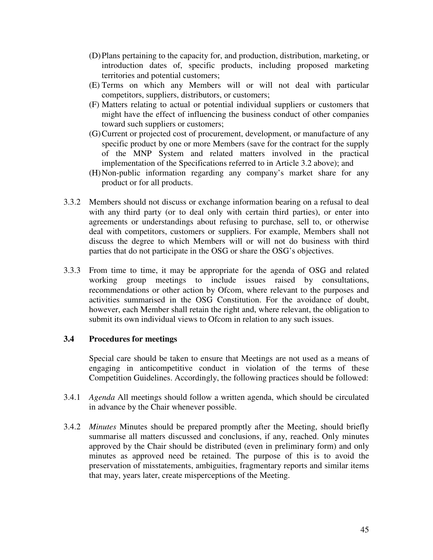- (D) Plans pertaining to the capacity for, and production, distribution, marketing, or introduction dates of, specific products, including proposed marketing territories and potential customers;
- (E) Terms on which any Members will or will not deal with particular competitors, suppliers, distributors, or customers;
- (F) Matters relating to actual or potential individual suppliers or customers that might have the effect of influencing the business conduct of other companies toward such suppliers or customers;
- (G) Current or projected cost of procurement, development, or manufacture of any specific product by one or more Members (save for the contract for the supply of the MNP System and related matters involved in the practical implementation of the Specifications referred to in Article 3.2 above); and
- (H) Non-public information regarding any company's market share for any product or for all products.
- 3.3.2 Members should not discuss or exchange information bearing on a refusal to deal with any third party (or to deal only with certain third parties), or enter into agreements or understandings about refusing to purchase, sell to, or otherwise deal with competitors, customers or suppliers. For example, Members shall not discuss the degree to which Members will or will not do business with third parties that do not participate in the OSG or share the OSG's objectives.
- 3.3.3 From time to time, it may be appropriate for the agenda of OSG and related working group meetings to include issues raised by consultations, recommendations or other action by Ofcom, where relevant to the purposes and activities summarised in the OSG Constitution. For the avoidance of doubt, however, each Member shall retain the right and, where relevant, the obligation to submit its own individual views to Ofcom in relation to any such issues.

#### **3.4 Procedures for meetings**

Special care should be taken to ensure that Meetings are not used as a means of engaging in anticompetitive conduct in violation of the terms of these Competition Guidelines. Accordingly, the following practices should be followed:

- 3.4.1 *Agenda* All meetings should follow a written agenda, which should be circulated in advance by the Chair whenever possible.
- 3.4.2 *Minutes* Minutes should be prepared promptly after the Meeting, should briefly summarise all matters discussed and conclusions, if any, reached. Only minutes approved by the Chair should be distributed (even in preliminary form) and only minutes as approved need be retained. The purpose of this is to avoid the preservation of misstatements, ambiguities, fragmentary reports and similar items that may, years later, create misperceptions of the Meeting.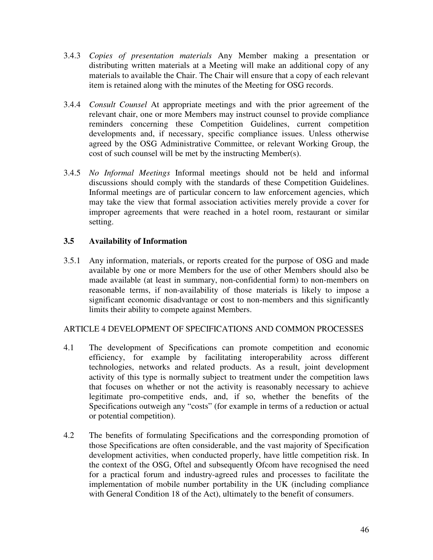- 3.4.3 *Copies of presentation materials* Any Member making a presentation or distributing written materials at a Meeting will make an additional copy of any materials to available the Chair. The Chair will ensure that a copy of each relevant item is retained along with the minutes of the Meeting for OSG records.
- 3.4.4 *Consult Counsel* At appropriate meetings and with the prior agreement of the relevant chair, one or more Members may instruct counsel to provide compliance reminders concerning these Competition Guidelines, current competition developments and, if necessary, specific compliance issues. Unless otherwise agreed by the OSG Administrative Committee, or relevant Working Group, the cost of such counsel will be met by the instructing Member(s).
- 3.4.5 *No Informal Meetings* Informal meetings should not be held and informal discussions should comply with the standards of these Competition Guidelines. Informal meetings are of particular concern to law enforcement agencies, which may take the view that formal association activities merely provide a cover for improper agreements that were reached in a hotel room, restaurant or similar setting.

# **3.5 Availability of Information**

3.5.1 Any information, materials, or reports created for the purpose of OSG and made available by one or more Members for the use of other Members should also be made available (at least in summary, non-confidential form) to non-members on reasonable terms, if non-availability of those materials is likely to impose a significant economic disadvantage or cost to non-members and this significantly limits their ability to compete against Members.

# ARTICLE 4 DEVELOPMENT OF SPECIFICATIONS AND COMMON PROCESSES

- 4.1 The development of Specifications can promote competition and economic efficiency, for example by facilitating interoperability across different technologies, networks and related products. As a result, joint development activity of this type is normally subject to treatment under the competition laws that focuses on whether or not the activity is reasonably necessary to achieve legitimate pro-competitive ends, and, if so, whether the benefits of the Specifications outweigh any "costs" (for example in terms of a reduction or actual or potential competition).
- 4.2 The benefits of formulating Specifications and the corresponding promotion of those Specifications are often considerable, and the vast majority of Specification development activities, when conducted properly, have little competition risk. In the context of the OSG, Oftel and subsequently Ofcom have recognised the need for a practical forum and industry-agreed rules and processes to facilitate the implementation of mobile number portability in the UK (including compliance with General Condition 18 of the Act), ultimately to the benefit of consumers.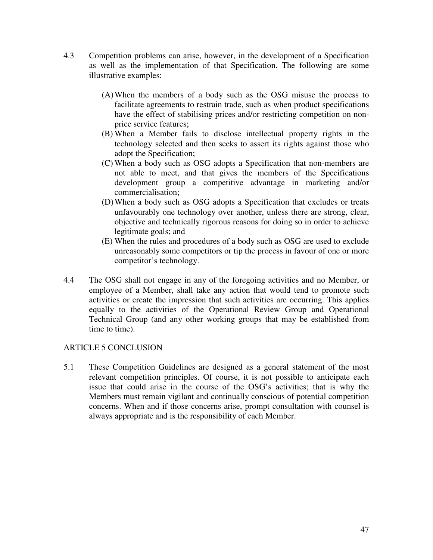- 4.3 Competition problems can arise, however, in the development of a Specification as well as the implementation of that Specification. The following are some illustrative examples:
	- (A) When the members of a body such as the OSG misuse the process to facilitate agreements to restrain trade, such as when product specifications have the effect of stabilising prices and/or restricting competition on nonprice service features;
	- (B) When a Member fails to disclose intellectual property rights in the technology selected and then seeks to assert its rights against those who adopt the Specification;
	- (C) When a body such as OSG adopts a Specification that non-members are not able to meet, and that gives the members of the Specifications development group a competitive advantage in marketing and/or commercialisation;
	- (D) When a body such as OSG adopts a Specification that excludes or treats unfavourably one technology over another, unless there are strong, clear, objective and technically rigorous reasons for doing so in order to achieve legitimate goals; and
	- (E) When the rules and procedures of a body such as OSG are used to exclude unreasonably some competitors or tip the process in favour of one or more competitor's technology.
- 4.4 The OSG shall not engage in any of the foregoing activities and no Member, or employee of a Member, shall take any action that would tend to promote such activities or create the impression that such activities are occurring. This applies equally to the activities of the Operational Review Group and Operational Technical Group (and any other working groups that may be established from time to time).

# ARTICLE 5 CONCLUSION

5.1 These Competition Guidelines are designed as a general statement of the most relevant competition principles. Of course, it is not possible to anticipate each issue that could arise in the course of the OSG's activities; that is why the Members must remain vigilant and continually conscious of potential competition concerns. When and if those concerns arise, prompt consultation with counsel is always appropriate and is the responsibility of each Member.